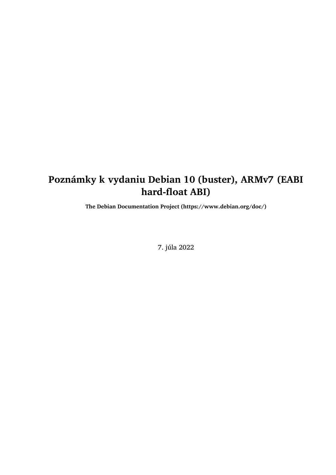## **Poznámky k vydaniu Debian 10 (buster), ARMv7 (EABI hard-float ABI)**

**The Debian Documentation Project (https://www.debian.org/doc/)**

7. júla 2022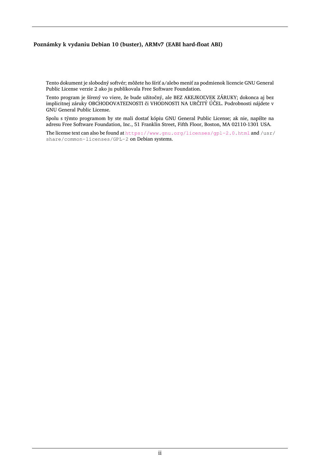#### **Poznámky k vydaniu Debian 10 (buster), ARMv7 (EABI hard-float ABI)**

Tento dokument je slobodný softvér; môžete ho šíriť a/alebo meniť za podmienok licencie GNU General Public License verzie 2 ako ju publikovala Free Software Foundation.

Tento program je šírený vo viere, že bude užitočný, ale BEZ AKEJKOĽVEK ZÁRUKY; dokonca aj bez implicitnej záruky OBCHODOVATEĽNOSTI či VHODNOSTI NA URČITÝ ÚČEL. Podrobnosti nájdete v GNU General Public License.

Spolu s týmto programom by ste mali dostať kópiu GNU General Public License; ak nie, napíšte na adresu Free Software Foundation, Inc., 51 Franklin Street, Fifth Floor, Boston, MA 02110-1301 USA.

The license text can also be found at https://www.gnu.org/licenses/gpl-2.0.html and /usr/ share/common-licenses/GPL-2 on Debian systems.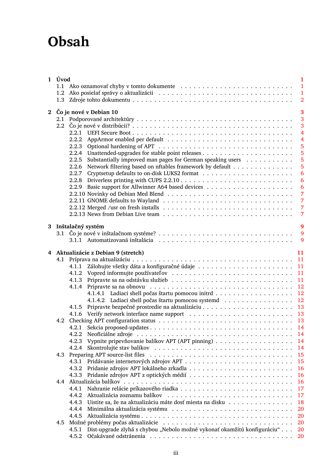# **Obsah**

|                | 1 Úvod | 1                                                                                                                            |
|----------------|--------|------------------------------------------------------------------------------------------------------------------------------|
|                | 1.1    | $\mathbf{1}$                                                                                                                 |
|                | 1.2    | $\mathbf{1}$                                                                                                                 |
|                | 1.3    | $\overline{2}$                                                                                                               |
|                |        |                                                                                                                              |
| 2 <sub>1</sub> |        | Čo je nové v Debian 10<br>3                                                                                                  |
|                | 2.1    | 3                                                                                                                            |
|                | 2.2    | 3                                                                                                                            |
|                |        | $\overline{\mathbf{4}}$<br>2.2.1                                                                                             |
|                |        | $\overline{4}$<br>2.2.2                                                                                                      |
|                |        | 5<br>2.2.3<br>$\overline{5}$                                                                                                 |
|                |        | 2.2.4<br>5                                                                                                                   |
|                |        | Substantially improved man pages for German speaking users<br>2.2.5<br>5                                                     |
|                |        | Network filtering based on nftables framework by default<br>2.2.6<br>6<br>2.2.7                                              |
|                |        | 6<br>2.2.8                                                                                                                   |
|                |        | 6<br>2.2.9                                                                                                                   |
|                |        | $\overline{7}$                                                                                                               |
|                |        | 7                                                                                                                            |
|                |        | 2.2.12 Merged /usr on fresh installs $\dots \dots \dots \dots \dots \dots \dots \dots \dots \dots \dots \dots$<br>7          |
|                |        | 7                                                                                                                            |
|                |        |                                                                                                                              |
| 3              |        | $\boldsymbol{9}$<br>Inštalačný systém                                                                                        |
|                | 3.1    | Čo je nové v inštalačnom systéme? $\ldots \ldots \ldots \ldots \ldots \ldots \ldots \ldots \ldots \ldots \ldots \ldots$<br>9 |
|                |        | 9                                                                                                                            |
|                |        |                                                                                                                              |
|                |        | 4 Aktualizácie z Debian 9 (stretch)<br>11                                                                                    |
|                | 4.1    | 11                                                                                                                           |
|                |        | 11<br>4.1.1                                                                                                                  |
|                |        | 11                                                                                                                           |
|                |        | 11                                                                                                                           |
|                |        | 12<br>4.1.4                                                                                                                  |
|                |        | 12                                                                                                                           |
|                |        | 4.1.4.2 Ladiaci shell počas štartu pomocou systemd<br>12<br>13                                                               |
|                |        | 4.1.5                                                                                                                        |
|                |        |                                                                                                                              |
|                |        |                                                                                                                              |
|                |        | 4.2.2<br>14                                                                                                                  |
|                |        | 4.2.3<br>14                                                                                                                  |
|                |        | 4.2.4<br>14                                                                                                                  |
|                | 4.3    | 15                                                                                                                           |
|                |        | 4.3.1<br>15                                                                                                                  |
|                |        | 4.3.2<br>16                                                                                                                  |
|                |        | 16<br>4.3.3                                                                                                                  |
|                | 4.4    | 16                                                                                                                           |
|                |        | 4.4.1<br>17                                                                                                                  |
|                |        | 4.4.2<br>17                                                                                                                  |
|                |        | Uistite sa, že na aktualizáciu máte dosť miesta na disku<br>4.4.3<br>18                                                      |
|                |        | 4.4.4<br>20                                                                                                                  |
|                |        | 20<br>4.4.5                                                                                                                  |
|                | 4.5    | 20                                                                                                                           |
|                |        | Dist-upgrade zlyhá s chybou "Nebolo možné vykonať okamžitú konfiguráciu"<br>20<br>4.5.1                                      |
|                |        | 4.5.2<br><b>20</b>                                                                                                           |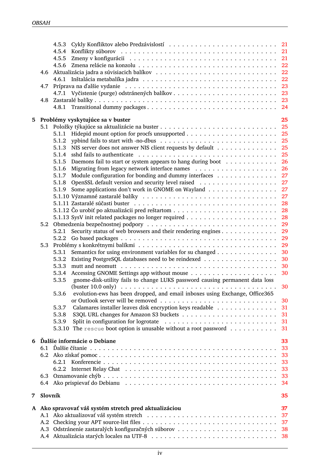|   |         | 4.5.3 |                                                                                                                                                                                                    | 21 |  |  |
|---|---------|-------|----------------------------------------------------------------------------------------------------------------------------------------------------------------------------------------------------|----|--|--|
|   |         | 4.5.4 |                                                                                                                                                                                                    |    |  |  |
|   |         | 4.5.5 |                                                                                                                                                                                                    |    |  |  |
|   |         | 4.5.6 |                                                                                                                                                                                                    | 22 |  |  |
|   | 4.6     |       |                                                                                                                                                                                                    | 22 |  |  |
|   |         | 4.6.1 |                                                                                                                                                                                                    | 22 |  |  |
|   | 4.7     |       |                                                                                                                                                                                                    | 23 |  |  |
|   |         |       |                                                                                                                                                                                                    | 23 |  |  |
|   | 4.8     |       |                                                                                                                                                                                                    | 23 |  |  |
|   |         |       |                                                                                                                                                                                                    | 24 |  |  |
| 5 |         |       |                                                                                                                                                                                                    | 25 |  |  |
|   | 5.1     |       | Problémy vyskytujúce sa v buster                                                                                                                                                                   | 25 |  |  |
|   |         | 5.1.1 |                                                                                                                                                                                                    | 25 |  |  |
|   |         | 5.1.2 |                                                                                                                                                                                                    | 25 |  |  |
|   |         | 5.1.3 | NIS server does not answer NIS client requests by default                                                                                                                                          | 25 |  |  |
|   |         | 5.1.4 |                                                                                                                                                                                                    | 25 |  |  |
|   |         | 5.1.5 | Daemons fail to start or system appears to hang during boot                                                                                                                                        | 26 |  |  |
|   |         | 5.1.6 |                                                                                                                                                                                                    | 26 |  |  |
|   |         | 5.1.7 | Module configuration for bonding and dummy interfaces                                                                                                                                              | 27 |  |  |
|   |         | 5.1.8 |                                                                                                                                                                                                    | 27 |  |  |
|   |         | 5.1.9 | Some applications don't work in GNOME on Wayland                                                                                                                                                   | 27 |  |  |
|   |         |       |                                                                                                                                                                                                    | 27 |  |  |
|   |         |       |                                                                                                                                                                                                    | 28 |  |  |
|   |         |       | 5.1.12 Čo urobiť po aktualizácii pred reštartom $\ldots \ldots \ldots \ldots \ldots \ldots \ldots \ldots \ldots$                                                                                   | 28 |  |  |
|   |         |       |                                                                                                                                                                                                    | 28 |  |  |
|   | 5.2     |       |                                                                                                                                                                                                    | 29 |  |  |
|   |         | 5.2.1 | Security status of web browsers and their rendering engines                                                                                                                                        | 29 |  |  |
|   |         | 5.2.2 |                                                                                                                                                                                                    | 29 |  |  |
|   | 5.3     |       |                                                                                                                                                                                                    | 29 |  |  |
|   |         | 5.3.1 | Semantics for using environment variables for su changed                                                                                                                                           | 30 |  |  |
|   |         | 5.3.2 | Existing PostgreSQL databases need to be reindexed                                                                                                                                                 | 30 |  |  |
|   |         | 5.3.3 |                                                                                                                                                                                                    | 30 |  |  |
|   |         | 5.3.4 |                                                                                                                                                                                                    | 30 |  |  |
|   |         | 5.3.5 | gnome-disk-utility fails to change LUKS password causing permanent data loss<br>(buster 10.0 only) $\ldots \ldots \ldots \ldots \ldots \ldots \ldots \ldots \ldots \ldots \ldots \ldots \ldots 30$ |    |  |  |
|   |         |       | 5.3.6 evolution-ews has been dropped, and email inboxes using Exchange, Office365                                                                                                                  |    |  |  |
|   |         |       |                                                                                                                                                                                                    | 30 |  |  |
|   |         | 5.3.7 | Calamares installer leaves disk encryption keys readable                                                                                                                                           | 31 |  |  |
|   |         | 5.3.8 |                                                                                                                                                                                                    | 31 |  |  |
|   |         | 5.3.9 |                                                                                                                                                                                                    | 31 |  |  |
|   |         |       | 5.3.10 The rescue boot option is unusable without a root password                                                                                                                                  | 31 |  |  |
| 6 |         |       | Dalšie informácie o Debiane                                                                                                                                                                        | 33 |  |  |
|   | 6.1     |       |                                                                                                                                                                                                    | 33 |  |  |
|   |         |       |                                                                                                                                                                                                    | 33 |  |  |
|   |         |       |                                                                                                                                                                                                    | 33 |  |  |
|   |         |       |                                                                                                                                                                                                    | 33 |  |  |
|   | 6.3     |       |                                                                                                                                                                                                    | 33 |  |  |
|   | 6.4     |       |                                                                                                                                                                                                    | 34 |  |  |
| 7 | Slovník |       |                                                                                                                                                                                                    | 35 |  |  |
|   |         |       |                                                                                                                                                                                                    |    |  |  |
|   |         |       | A Ako spravovať váš systém stretch pred aktualizáciou                                                                                                                                              | 37 |  |  |
|   |         |       |                                                                                                                                                                                                    | 37 |  |  |
|   |         |       |                                                                                                                                                                                                    | 37 |  |  |
|   |         |       |                                                                                                                                                                                                    | 38 |  |  |
|   |         |       |                                                                                                                                                                                                    |    |  |  |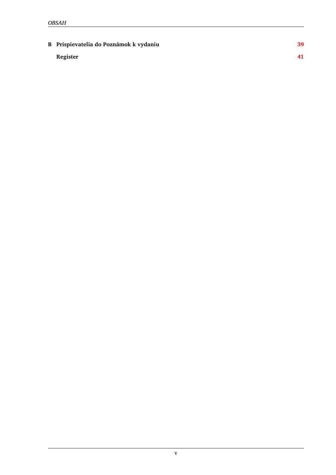**B Prispievatelia do Poznámok k vydaniu 39**

**Register 41**

v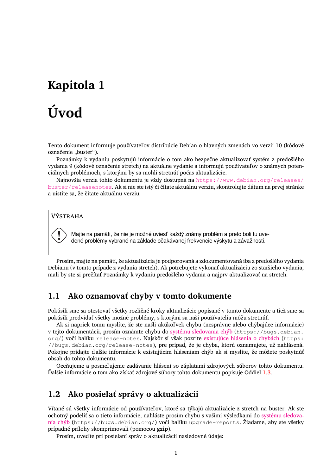## <span id="page-6-3"></span><span id="page-6-0"></span>**Kapitola 1**

# **Úvod**

Tento dokument informuje používateľov distribúcie Debian o hlavných zmenách vo verzii 10 (kódové označenie "buster").

Poznámky k vydaniu poskytujú informácie o tom ako bezpečne aktualizovať systém z predošlého vydania 9 (kódové označenie stretch) na aktuálne vydanie a informujú používateľov o známych potenciálnych problémoch, s ktorými by sa mohli stretnúť počas aktualizácie.

Najnovšia verzia tohto dokumentu je vždy dostupná na https://www.debian.org/releases/ buster/releasenotes. Ak si nie ste istý či čítate aktuálnu verziu, skontrolujte dátum na prvej stránke a uistite sa, že čítate aktuálnu verziu.

#### **VÝSTRAHA**

Majte na pamäti, že nie je možné uviesť každý známy problém a preto boli tu uvedené problémy vybrané na základe očakávanej frekvencie výskytu a závažnosti.

Prosím, majte na pamäti, že aktualizácia je podporovaná a zdokumentovaná iba z predošlého vydania Debianu (v tomto prípade z vydania stretch). Ak potrebujete vykonať aktualizáciu zo staršieho vydania, mali by ste si prečítať Poznámky k vydaniu predošlého vydania a najprv aktualizovať na stretch.

## **1.1 Ako oznamovať chyby v tomto dokumente**

Pokúsili sme sa otestovať všetky rozličné kroky aktualizácie popísané v tomto dokumente a tiež sme sa pokúsili predvídať všetky možné problémy, s ktorými sa naši používatelia môžu stretnúť.

<span id="page-6-1"></span>Ak si napriek tomu myslíte, že ste našli akúkoľvek chybu (nesprávne alebo chýbajúce informácie) v tejto dokumentácii, prosím oznámte chybu do systému sledovania chýb (https://bugs.debian. org/) voči balíku release-notes. Najskôr si však pozrite existujúce hlásenia o chybách (https: //bugs.debian.org/release-notes), pre prípad, že je chyba, ktorú oznamujete, už nahlásená. Pokojne pridajte ďalšie informácie k existujúcim hláseniam chýb ak si myslíte, že môžete poskytnúť obsah do tohto dokumentu.

Oceňujeme a posmeľujeme zadávanie hlásen[í so záplatam](https://bugs.debian.org/)[i zdrojových súborov tohto do](https://bugs.debian.org/release-notes)kumentu. Ďalšie informácie o tom ako získať zdrojové súbory tohto dokumentu popisuje Oddiel 1.3.

## **1.2 Ako posielať správy o aktualizácii**

<span id="page-6-2"></span>Vítané sú všetky informácie od používateľov, ktoré sa týkajú aktualizácie z stretch na buster. Ak ste ochotný podeliť sa o tieto informácie, nahláste prosím chybu s vašimi výsledkami do systému sledovania chýb (https://bugs.debian.org/) voči balíku upgrade-reports. Žiadame, aby ste všetky prípadné prílohy skomprimovali (pomocou **gzip**).

Prosím, uveďte pri posielaní správ o aktualizácii nasledovné údaje: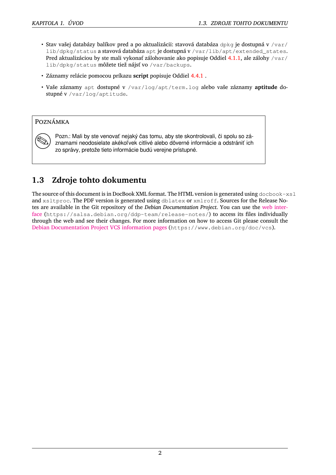- <span id="page-7-1"></span>• Stav vašej databázy balíkov pred a po aktualizácii: stavová databáza  $dpkq$  je dostupná v  $/var/$ lib/dpkg/status a stavová databáza apt je dostupná v /var/lib/apt/extended\_states. Pred aktualizáciou by ste mali vykonať zálohovanie ako popisuje Oddiel 4.1.1, ale zálohy /var/ lib/dpkg/status môžete tiež nájsť vo /var/backups.
- Záznamy relácie pomocou príkazu **script** popisuje Oddiel 4.4.1 .
- Vaše záznamy apt dostupné v /var/log/apt/term.log alebo vaš[e zázn](#page-16-2)amy **aptitude** dostupné v /var/log/aptitude.

#### POZNÁMKA

Pozn.: Mali by ste venovať nejaký čas tomu, aby ste skontrolovali, či spolu so záznamami neodosielate akékoľvek citlivé alebo dôverné informácie a odstrániť ich zo správy, pretože tieto informácie budú verejne prístupné.

## **1.3 Zdroje tohto dokumentu**

<span id="page-7-0"></span>The source of this document is in DocBook XML format. The HTML version is generated using  $d$ ocbook-xsl and xsltproc. The PDF version is generated using dblatex or xmlroff. Sources for the Release Notes are available in the Git repository of the *Debian Documentation Project*. You can use the web interface (https://salsa.debian.org/ddp-team/release-notes/) to access its files individually through the web and see their changes. For more information on how to access Git please consult the Debian Documentation Project VCS information pages (https://www.debian.org/doc/vcs[\).](https://salsa.debian.org/ddp-team/release-notes/)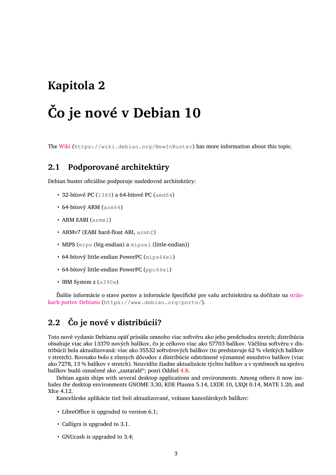## <span id="page-8-3"></span><span id="page-8-0"></span>**Kapitola 2**

# **Čo je nové v Debian 10**

The Wiki (https://wiki.debian.org/NewInBuster) has more information about this topic.

## **2.[1 P](https://wiki.debian.org/NewInBuster)odporované architektúry**

Debian buster oficiálne podporuje nasledovné architektúry:

- <span id="page-8-1"></span>• 32-bitové PC (i386) a 64-bitové PC (amd64)
- 64-bitový ARM (arm64)
- ARM EABI (armel)
- ARMv7 (EABI hard-float ABI, armhf)
- MIPS (mips (big-endian) a mipsel (little-endian))
- 64-bitový little-endian PowerPC (mips64el)
- 64-bitový little-endian PowerPC (ppc64e1)
- IBM System z (s390x)

Ďalšie informácie o stave portov a informácie špecifické pre vašu architektúru sa dočítate na stránkach portov Debianu (https://www.debian.org/ports/).

## **[2.2 Čo je nov](https://www.debian.org/ports/)é v distribúcii?**

<span id="page-8-2"></span>Toto nové vydanie Debianu opäť prináša omnoho viac softvéru ako jeho predchodca stretch; distribúcia obsahuje viac ako 13370 nových balíkov, čo je celkovo viac ako 57703 balíkov. Väčšina softvéru v distribúcii bola aktualizovaná: viac ako 35532 softvérových balíkov (to predstavuje 62 % všetkých balíkov v stretch). Rovnako bolo z rôznych dôvodov z distribúcie odstránené významné množstvo balíkov (viac ako 7278, 13 % balíkov v stretch). Neuvidíte žiadne aktualizácie týchto balíkov a v systémoch na správu balíkov budú označené ako "zastaralé"; pozri Oddiel 4.8.

Debian again ships with several desktop applications and environments. Among others it now includes the desktop environments GNOME 3.30, KDE Plasma 5.14, LXDE 10, LXQt 0.14, MATE 1.20, and Xfce 4.12.

Kancelárske aplikácie tiež boli aktualizované, vrá[tane](#page-28-2) kancelárskych balíkov:

- LibreOffice is upgraded to version 6.1;
- Calligra is upgraded to 3.1.
- GNUcash is upgraded to 3.4;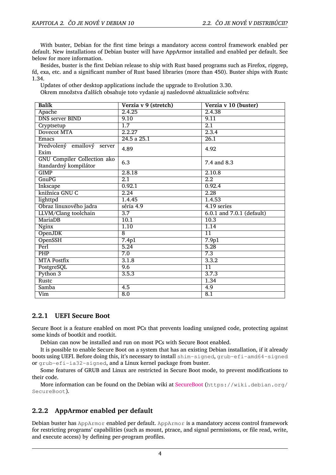<span id="page-9-2"></span>With buster, Debian for the first time brings a mandatory access control framework enabled per default. New installations of Debian buster will have AppArmor installed and enabled per default. See below for more information.

Besides, buster is the first Debian release to ship with Rust based programs such as Firefox, ripgrep, fd, exa, etc. and a significant number of Rust based libraries (more than 450). Buster ships with Rustc 1.34.

Updates of other desktop applications include the upgrade to Evolution 3.30.

Okrem množstva ďalších obsahuje toto vydanie aj nasledovné aktualizácie softvéru:

| <b>Balík</b>                                                | Verzia v 9 (stretch) | Verzia v 10 (buster)      |
|-------------------------------------------------------------|----------------------|---------------------------|
| Apache                                                      | 2.4.25               | 2.4.38                    |
| <b>DNS</b> server <b>BIND</b>                               | 9.10                 | 9.11                      |
| Cryptsetup                                                  | 1.7                  | $\overline{2.1}$          |
| <b>Dovecot MTA</b>                                          | 2.2.27               | 2.3.4                     |
| Emacs                                                       | 24.5 a 25.1          | 26.1                      |
| Predvolený emailový server<br>Exim                          | 4.89                 | 4.92                      |
| <b>GNU Compiler Collection ako</b><br>štandardný kompilátor | 6.3                  | 7.4 and 8.3               |
| $\overline{\text{GIMP}}$                                    | 2.8.18               | 2.10.8                    |
| GnuPG                                                       | $\overline{2.1}$     | $\overline{2.2}$          |
| <b>Inkscape</b>                                             | 0.92.1               | 0.92.4                    |
| knižnica GNU C                                              | 2.24                 | 2.28                      |
| lighttpd                                                    | 1.4.45               | 1.4.53                    |
| Obraz linuxového jadra                                      | séria 4.9            | 4.19 series               |
| LLVM/Clang toolchain                                        | $\overline{3.7}$     | 6.0.1 and 7.0.1 (default) |
| <b>MariaDB</b>                                              | 10.1                 | 10.3                      |
| <b>Nginx</b>                                                | 1.10                 | 1.14                      |
| <b>OpenJDK</b>                                              | $\overline{8}$       | $\overline{11}$           |
| <b>OpenSSH</b>                                              | 7.4p1                | 7.9p1                     |
| Perl                                                        | 5.24                 | 5.28                      |
| $\overline{PHP}$                                            | $\overline{7.0}$     | $\overline{7.3}$          |
| <b>MTA Postfix</b>                                          | 3.1.8                | 3.3.2                     |
| PostgreSQL                                                  | 9.6                  | $\overline{11}$           |
| Python 3                                                    | 3.5.3                | 3.7.3                     |
| Rustc                                                       |                      | 1.34                      |
| <b>Samba</b>                                                | 4.5                  | $\overline{4.9}$          |
| $\overline{\text{Vim}}$                                     | $\overline{8.0}$     | $\overline{8.1}$          |

#### **2.2.1 UEFI Secure Boot**

Secure Boot is a feature enabled on most PCs that prevents loading unsigned code, protecting against some kinds of bootkit and rootkit.

<span id="page-9-0"></span>Debian can now be installed and run on most PCs with Secure Boot enabled.

It is possible to enable Secure Boot on a system that has an existing Debian installation, if it already boots using UEFI. Before doing this, it's necessary to install shim-signed, grub-efi-amd64-signed or grub-efi-ia32-signed, and a Linux kernel package from buster.

Some features of GRUB and Linux are restricted in Secure Boot mode, to prevent modifications to their code.

More information can be found on the Debian wiki at SecureBoot (https://wiki.debian.org/ SecureBoot).

### **2.2.2 AppArmor enabled per default**

<span id="page-9-1"></span>Debian buster has AppArmor enabled per default. AppArmor is a mandatory access control framework for restricting programs' capabilities (such as mount, ptrace, and signal permissions, or file read, write, and execute access) by defining per-program profiles.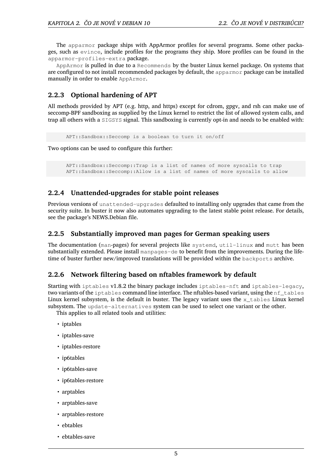<span id="page-10-4"></span>The apparmor package ships with AppArmor profiles for several programs. Some other packages, such as evince, include profiles for the programs they ship. More profiles can be found in the apparmor-profiles-extra package.

AppArmor is pulled in due to a Recommends by the buster Linux kernel package. On systems that are configured to not install recommended packages by default, the apparmor package can be installed manually in order to enable AppArmor.

#### <span id="page-10-0"></span>**2.2.3 Optional hardening of APT**

All methods provided by APT (e.g. http, and https) except for cdrom, gpgv, and rsh can make use of seccomp-BPF sandboxing as supplied by the Linux kernel to restrict the list of allowed system calls, and trap all others with a SIGSYS signal. This sandboxing is currently opt-in and needs to be enabled with:

APT::Sandbox::Seccomp is a boolean to turn it on/off

Two options can be used to configure this further:

```
APT::Sandbox::Seccomp::Trap is a list of names of more syscalls to trap
APT::Sandbox::Seccomp::Allow is a list of names of more syscalls to allow
```
#### <span id="page-10-1"></span>**2.2.4 Unattended-upgrades for stable point releases**

Previous versions of unattended-upgrades defaulted to installing only upgrades that came from the security suite. In buster it now also automates upgrading to the latest stable point release. For details, see the package's NEWS.Debian file.

#### <span id="page-10-2"></span>**2.2.5 Substantially improved man pages for German speaking users**

The documentation (man-pages) for several projects like systemd, util-linux and mutt has been substantially extended. Please install manpages-de to benefit from the improvements. During the lifetime of buster further new/improved translations will be provided within the backports archive.

#### <span id="page-10-3"></span>**2.2.6 Network filtering based on nftables framework by default**

Starting with iptables v1.8.2 the binary package includes iptables-nft and iptables-legacy, two variants of the iptables command line interface. The nftables-based variant, using the nf\_tables Linux kernel subsystem, is the default in buster. The legacy variant uses the  $x$ -tables Linux kernel subsystem. The update-alternatives system can be used to select one variant or the other.

This applies to all related tools and utilities:

- iptables
- iptables-save
- iptables-restore
- ip6tables
- ip6tables-save
- ip6tables-restore
- arptables
- arptables-save
- arptables-restore
- ebtables
- ebtables-save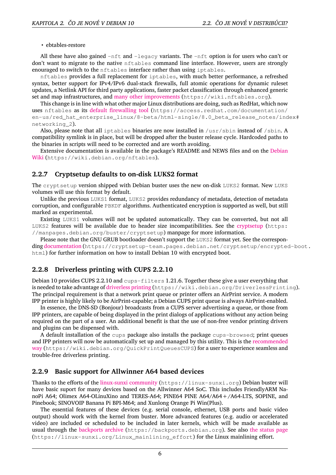• ebtables-restore

<span id="page-11-3"></span>All these have also gained  $-nft$  and  $-legacy$  variants. The  $-nft$  option is for users who can't or don't want to migrate to the native nftables command line interface. However, users are strongly enouraged to switch to the nftables interface rather than using iptables.

nftables provides a full replacement for iptables, with much better performance, a refreshed syntax, better support for IPv4/IPv6 dual-stack firewalls, full atomic operations for dynamic ruleset updates, a Netlink API for third party applications, faster packet classification through enhanced generic set and map infrastructures, and many other improvements (https://wiki.nftables.org).

This change is in line with what other major Linux distributions are doing, such as RedHat, which now uses nftables as its default firewalling tool (https://access.redhat.com/documentation/ en-us/red hat enterprise linux/8-beta/html-single/8.0 beta release notes/index# networking\_2).

Also, please note that all iptables [binaries are now in](https://wiki.nftables.org)stalled in  $/usr/$ sbin instead of  $/$ sbin. A compatibility symlinki[s in place, but will be dr](https://access.redhat.com/documentation/en-us/red_hat_enterprise_linux/8-beta/html-single/8.0_beta_release_notes/index#networking_2)opped after the buster release cycle. Hardcoded paths to the binaries in scripts will need to be corrected and are worth avoiding.

Extensive documentation is available in the package's README and NEWS files and on the Debian Wiki (https://wiki.debian.org/nftables).

#### **2.2.7 Cryptsetup defaults to on-disk LUKS2 format**

[The](https://wiki.debian.org/nftables) cryptsetup version shipped with Debian buster uses the new on-disk [LUKS](https://wiki.debian.org/nftables)2 format. New LUKS volumes will use this format by default.

<span id="page-11-0"></span>Unlike the previous LUKS1 format, LUKS2 provides redundancy of metadata, detection of metadata corruption, and configurable PBKDF algorithms. Authenticated encryption is supported as well, but still marked as experimental.

Existing LUKS1 volumes will not be updated automatically. They can be converted, but not all LUKS2 features will be available due to header size incompatibilities. See the cryptsetup (https: //manpages.debian.org/buster/cryptsetup) manpage for more information.

Please note that the GNU GRUB bootloader doesn't support the LUKS2 format yet. See the corresponding documentation (https://cryptsetup-team.pages.debian.net/cryptsetup/encrypted-boot. html) for further information on how to install Debian 10 with encrypted boot.

#### **2.2[.8 Driverles](https://cryptsetup-team.pages.debian.net/cryptsetup/encrypted-boot.html)s printing with CUPS 2.2.10**

Debian 10 provides CUPS 2.2.10 and cups-filters 1.21.6. Together these give a user everything that is needed to take advantage of driverless printing (https://wiki.debian.org/DriverlessPrinting). The principal requirement is that a network print queue or printer offers an AirPrint service. A modern IPP printer is highly likely to be AirPrint-capable; a Debian CUPS print queue is always AirPrint-enabled.

<span id="page-11-1"></span>In essence, the DNS-SD (Bonjour) broadcasts from a CUPS server advertising a queue, or those from IPP printers, are capable of be[ing displayed in th](https://wiki.debian.org/DriverlessPrinting)e print dialogs of applications without any action being required on the part of a user. An additional benefit is that the use of non-free vendor printing drivers and plugins can be dispensed with.

A default installation of the cups package also installs the package cups-browsed; print queues and IPP printers will now be automatically set up and managed by this utility. This is the recommended way (https://wiki.debian.org/QuickPrintQueuesCUPS) for a user to experience seamless and trouble-free driverless printing.

#### **[2.2.](https://wiki.debian.org/QuickPrintQueuesCUPS)9 Basic support for Allwinner A64 based devices**

Thanks to the efforts of the linux-sunxi community (https://linux-sunxi.org) Debian buster will have basic suport for many devices based on the Allwinner A64 SoC. This includes FriendlyARM NanoPi A64; Olimex A64-OLinuXino and TERES-A64; PINE64 PINE A64/A64+/A64-LTS, SOPINE, and Pinebook; SINOVOIP Banana Pi BPI-M64; and Xunlong Orange Pi Win(Plus).

<span id="page-11-2"></span>The essential features [of these devices \(e.g. s](https://linux-sunxi.org)erial console, ethernet, USB ports and basic video output) should work with the kernel from buster. More advanced features (e.g. audio or accelerated video) are included or scheduled to be included in later kernels, which will be made available as usual through the backports archive (https://backports.debian.org). See also the status page (https://linux-sunxi.org/Linux\_mainlining\_effort) for the Linux mainlining effort.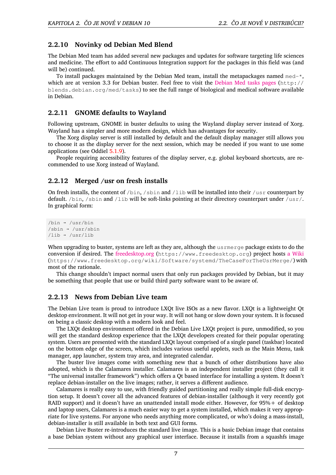#### **2.2.10 Novinky od Debian Med Blend**

<span id="page-12-4"></span>The Debian Med team has added several new packages and updates for software targeting life sciences and medicine. The effort to add Continuous Integration support for the packages in this field was (and will be) continued.

<span id="page-12-0"></span>To install packages maintained by the Debian Med team, install the metapackages named  $mech - x$ , which are at version 3.3 for Debian buster. Feel free to visit the Debian Med tasks pages (http:// blends.debian.org/med/tasks) to see the full range of biological and medical software available in Debian.

#### **2.2.11 GNOME defaults to Wayland**

Following upstream, GNOME in buster defaults to using the Wayland display server instead of Xorg. Wayland has a simpler and more modern design, which has advantages for security.

<span id="page-12-1"></span>The Xorg display server is still installed by default and the default display manager still allows you to choose it as the display server for the next session, which may be needed if you want to use some applications (see Oddiel 5.1.9).

People requiring accessibility features of the display server, e.g. global keyboard shortcuts, are recommended to use Xorg instead of Wayland.

#### **2.2.12 Merged /u[sr on](#page-32-2) fresh installs**

<span id="page-12-2"></span>On fresh installs, the content of  $/\text{bin}$ ,  $/\text{win}$  and  $/\text{lib}$  will be installed into their  $/\text{usr}$  counterpart by default. /bin, /sbin and /lib will be soft-links pointing at their directory counterpart under /usr/. In graphical form:

```
/bin → /usr/bin
/sbin → /usr/sbin
/lib → /usr/lib
```
When upgrading to buster, systems are left as they are, although the usrmerge package exists to do the conversion if desired. The freedesktop.org (https://www.freedesktop.org) project hosts a Wiki (https://www.freedesktop.org/wiki/Software/systemd/TheCaseForTheUsrMerge/) with most of the rationale.

This change shouldn't impact normal users that only run packages provided by Debian, but [it may](https://www.freedesktop.org/wiki/Software/systemd/TheCaseForTheUsrMerge/) be something that peoplet[hat use or build](https://www.freedesktop.org) third party software want to be aware of.

#### **2.2.13 News from Debian Live team**

The Debian Live team is proud to introduce LXQt live ISOs as a new flavor. LXQt is a lightweight Qt desktop environment. It will not get in your way. It will not hang or slow down your system. It is focused on being a classic desktop with a modern look and feel.

<span id="page-12-3"></span>The LXQt desktop environment offered in the Debian Live LXQt project is pure, unmodified, so you will get the standard desktop experience that the LXQt developers created for their popular operating system. Users are presented with the standard LXQt layout comprised of a single panel (taskbar) located on the bottom edge of the screen, which includes various useful applets, such as the Main Menu, task manager, app launcher, system tray area, and integrated calendar.

The buster live images come with something new that a bunch of other distributions have also adopted, which is the Calamares installer. Calamares is an independent installer project (they call it "The universal installer framework") which offers a Qt based interface for installing a system. It doesn't replace debian-installer on the live images; rather, it serves a different audience.

Calamares is really easy to use, with friendly guided partitioning and really simple full-disk encryption setup. It doesn't cover all the advanced features of debian-installer (although it very recently got RAID support) and it doesn't have an unattended install mode either. However, for 95% + of desktop and laptop users, Calamares is a much easier way to get a system installed, which makes it very appropriate for live systems. For anyone who needs anything more complicated, or who's doing a mass-install, debian-installer is still available in both text and GUI forms.

Debian Live Buster re-introduces the standard live image. This is a basic Debian image that contains a base Debian system without any graphical user interface. Because it installs from a squashfs image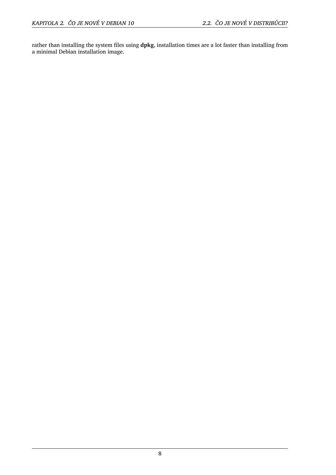rather than installing the system files using **dpkg**, installation times are a lot faster than installing from a minimal Debian installation image.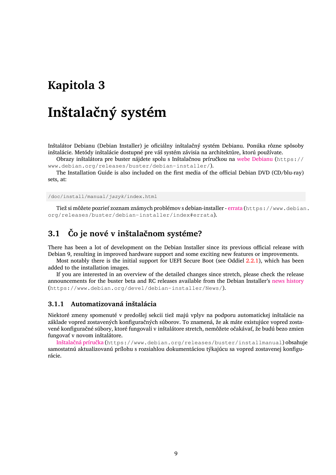## <span id="page-14-0"></span>**Kapitola 3**

# **Inštalačný systém**

Inštalátor Debianu (Debian Installer) je oficiálny inštalačný systém Debianu. Ponúka rôzne spôsoby inštalácie. Metódy inštalácie dostupné pre váš systém závisia na architektúre, ktorú používate.

Obrazy inštalátora pre buster nájdete spolu s Inštalačnou príručkou na webe Debianu (https:// www.debian.org/releases/buster/debian-installer/).

The Installation Guide is also included on the first media of the official Debian DVD (CD/blu-ray) sets, at:

/doc/install/manual/*jazyk*/index.html

Tiež si môžete pozrieť zoznam známych problémov s debian-installer - errata (https://www.debian. org/releases/buster/debian-installer/index#errata).

## **3.1 Čo je nové v inštalačnom systéme?**

There has been a lot of development on the Debian Installer since its previous official release with Debian 9, resulting in improved hardware support and some exciting new features or improvements.

<span id="page-14-1"></span>Most notably there is the initial support for UEFI Secure Boot (see Oddiel 2.2.1), which has been added to the installation images.

If you are interested in an overview of the detailed changes since stretch, please check the release announcements for the buster beta and RC releases available from the Debian [Instal](#page-9-0)ler's news history (https://www.debian.org/devel/debian-installer/News/).

#### **3.1.1 Automatizovaná inštalácia**

Niektoré zmeny spomenuté v predošlej sekcii tiež majú vplyv na podporu automatickej [inštalácie na](https://www.debian.org/devel/debian-installer/News/) základe vopred zostavených konfiguračných súborov. To znamená, že ak máte existujúce vopred zostavené konfiguračné súbory, ktoré fungovali v inštalátore stretch, nemôžete očakávať, že budú bezo zmien fungovať v novom inštalátore.

<span id="page-14-2"></span>Inštalačná príručka (https://www.debian.org/releases/buster/installmanual) obsahuje samostatnú aktualizovanú prílohu s rozsiahlou dokumentáciou týkajúcu sa vopred zostavenej konfigurácie.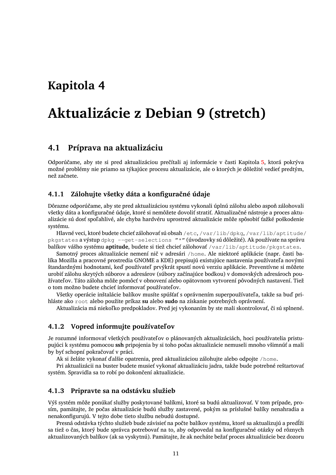## <span id="page-16-0"></span>**Kapitola 4**

# **Aktualizácie z Debian 9 (stretch)**

### **4.1 Príprava na aktualizáciu**

<span id="page-16-1"></span>Odporúčame, aby ste si pred aktualizáciou prečítali aj informácie v časti Kapitola 5, ktorá pokrýva možné problémy nie priamo sa týkajúce procesu aktualizácie, ale o ktorých je dôležité vedieť predtým, než začnete.

#### **4.1.1 Zálohujte všetky dáta a konfiguračné údaje**

<span id="page-16-2"></span>Dôrazne odporúčame, aby ste pred aktualizáciou systému vykonali úplnú zálohu alebo aspoň zálohovali všetky dáta a konfiguračné údaje, ktoré si nemôžete dovoliť stratiť. Aktualizačné nástroje a proces aktualizácie sú dosť spoľahlivé, ale chyba hardvéru uprostred aktualizácie môže spôsobiť ťažké poškodenie systému.

Hlavné veci, ktoré budete chcieť zálohovať sú obsah /etc, /var/lib/dpkg, /var/lib/aptitude/ pkgstates a výstup dpkg --get-selections "\*" (úvodzovky sú dôležité). Ak používate na správu balíkov vášho systému **aptitude**, budete si tiež chcieť zálohovať /var/lib/aptitude/pkgstates.

Samotný proces aktualizácie nemení nič v adresári /home. Ale niektoré aplikácie (napr. časti balíka Mozilla a pracovné prostredia GNOME a KDE) prepisujú existujúce nastavenia používateľa novými štandardnými hodnotami, keď používateľ prvýkrát spustí novú verziu aplikácie. Preventívne si môžete urobiť zálohu skrytých súborov a adresárov (súbory začínajúce bodkou) v domovských adresároch používateľov. Táto záloha môže pomôcť v obnovení alebo opätovnom vytvorení pôvodných nastavení. Tiež o tom možno budete chcieť informovať používateľov.

Všetky operácie inštalácie balíkov musíte spúšťať s oprávnením superpoužívateľa, takže sa buď prihláste ako root alebo použite príkaz **su** alebo **sudo** na získanie potrebných oprávnení.

Aktualizácia má niekoľko predpokladov. Pred jej vykonaním by ste mali skontrolovať, či sú splnené.

#### **4.1.2 Vopred informujte používateľov**

Je rozumné informovať všetkých používateľov o plánovaných aktualizáciách, hoci používatelia pristupujúci k systému pomocou **ssh** pripojenia by si toho počas aktualizácie nemuseli mnoho všimnúť a mali by byť schopní pokračovať v práci.

<span id="page-16-3"></span>Ak si želáte vykonať ďalšie opatrenia, pred aktualizáciou zálohujte alebo odpojte /home.

Pri aktualizácii na buster budete musieť vykonať aktualizáciu jadra, takže bude potrebné reštartovať systém. Spravidla sa to robí po dokončení aktualizácie.

#### **4.1.3 Pripravte sa na odstávku služieb**

Výš systém môže ponúkať služby poskytované balíkmi, ktoré sa budú aktualizovať. V tom prípade, prosím, pamätajte, že počas aktualizácie budú služby zastavené, pokým sa príslušné balíky nenahradia a nenakonfigurujú. V tejto dobe tieto službu nebudú dostupné.

<span id="page-16-4"></span>Presná odstávka týchto služieb bude závisieť na počte balíkov systému, ktoré sa aktualizujú a predĺži sa tiež o čas, ktorý bude správca potrebovať na to, aby odpovedal na konfiguračné otázky od rôznych aktualizovaných balíkov (ak sa vyskytnú). Pamätajte, že ak necháte bežať proces aktualizácie bez dozoru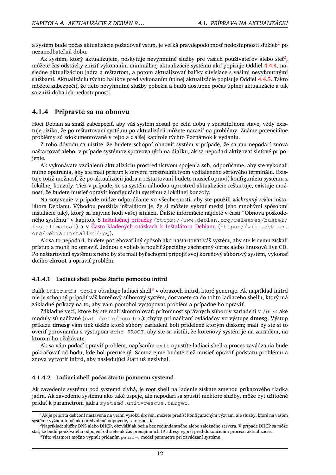<span id="page-17-6"></span>a systém bude počas aktualizácie požadovať vstup, je veľká pravdepodobnosť nedostupnosti služieb $^1$  po nezanedbateľnú dobu.

Ak systém, ktorý aktualizujete, poskytuje nevyhnutné služby pre vašich používateľov alebo sieť $^2$ , môžete čas odstávky znížiť vykonaním minimálnej aktualizácie systému ako popisuje Oddiel 4.4.4, následne aktualizáciou jadra a reštartom, a potom aktualizovať balíky súvisiace s vašimi nevyhnut[ný](#page-17-3)mi službami. Aktualizáciu týchto balíkov pred vykonaním úplnej aktualizácie popisuje Oddiel 4.4.5. Takto môžete zabezpečiť, že tieto nevyhnutné služby pobežia a budú dostupné počas úplnej aktuali[zácie a](#page-25-0) t[ak](#page-17-4) sa zníži doba ich nedostupnosti.

#### **4.1.4 Pripravte sa na obnovu**

Hoci Debian sa snaží zabezpečiť, aby váš systém zostal po celú dobu v spustiteľnom stave, vždy existuje riziko, že po reštartovaní systému po aktualizácii môžete naraziť na problémy. Známe potenciálne problémy sú zdokumentované v tejto a ďalšej kapitole týchto Poznámok k vydaniu.

<span id="page-17-0"></span>Z toho dôvodu sa uistite, že budete schopní obnoviť systém v prípade, že sa mu nepodarí znova naštartovať alebo, v prípade systémov spravovaných na diaľku, ak sa nepodarí aktivovať sieťové pripojenie.

Ak vykonávate vzdialenú aktualizáciu prostredníctvom spojenia **ssh**, odporúčame, aby ste vykonali nutné opatrenia, aby ste mali prístup k serveru prostredníctvom vzdialeného sériového terminálu. Existuje totiž možnosť, že po aktualizácii jadra a reštartovaní budete musieť opraviť konfiguráciu systému z lokálnej konzoly. Tiež v prípade, že sa systém náhodou uprostred aktualizácie reštartuje, existuje možnosť, že budete musieť opraviť konfiguráciu systému z lokálnej konzoly.

Na zotavenie v prípade núdze odporúčame vo všeobecnosti, aby ste použili *záchranný režim* inštalátora Debianu. Výhodou použitia inštalátora je, že si môžete vybrať medzi jeho mnohými spôsobmi inštalácie taký, ktorý sa najviac hodí vašej situácii. Ďalšie informácie nájdete v časti "Obnova poškodeného systému" v kapitole 8 Inštalačnej príručky (https://www.debian.org/releases/buster/ installmanual) a v Často kladených otázkach k Inštalátoru Debianu (https://wiki.debian. org/DebianInstaller/FAQ).

Ak sa to nepodarí, budete potrebovať iný spôsob ako naštartovať váš systém, aby ste k nemu získali prístup a mohli ho opraviť.J[ednou z volieb je po](https://www.debian.org/releases/buster/installmanual)užiť špeciálny záchranný obraz alebo linuxové live CD. Po naštartovaní systém[u z neho by ste mali byť schopní pripojiť svoj koreňo](https://wiki.debian.org/DebianInstaller/FAQ)vý súborový systém, vykonať doňho **chroot** a opraviť problém.

#### **4.1.4.1 Ladiaci shell počas štartu pomocou initrd**

Balík initramfs-tools obsahuje ladiaci shell<sup>3</sup> v obrazoch initrd, ktoré generuje. Ak napríklad initrd nie je schopný pripojiť váš koreňový súborový systém, dostanete sa do tohto ladiaceho shellu, ktorý má základné príkazy na to, aby vám pomohol vystopovať problém a prípadne ho opraviť.

<span id="page-17-1"></span>Základné veci, ktoré by ste mali skontrolovať: prítomnosť správnych súborov zariadení v /dev; aké moduly sú načítané (cat /proc/modules); c[hy](#page-17-5)by pri načítaní ovládačov vo výstupe **dmesg**. Výstup príkazu **dmesg** vám tiež ukáže ktoré súbory zariadení boli pridelené ktorým diskom; mali by ste si to overiť porovnaním s výstupom echo \$ROOT, aby ste sa uistili, že koreňový systém je na zariadení, na ktorom ho očakávate.

Ak sa vám podarí opraviť problém, napísaním exit opustíte ladiaci shell a proces zavádzania bude pokračovať od bodu, kde bol prerušený. Samozrejme budete tiež musieť opraviť podstatu problému a znova vytvoriť initrd, aby nasledujúci štart už nezlyhal.

#### **4.1.4.2 Ladiaci shell počas štartu pomocou systemd**

Ak zavedenie systému pod systemd zlyhá, je root shell na ladenie získate zmenou príkazového riadka jadra. Ak zavedenie systému ako také uspeje, ale nepodarí sa spustiť niektoré služby, môže byť užitočné pridať k parametrom jadra systemd.unit=rescue.target.

<span id="page-17-2"></span> $^1$ Ak je priorita debconf nastavená na veľmi vysokú úroveň, môžete predísť konfiguračným výzvam, ale služby, ktoré na vašom systéme vyžadujú iné ako predvolené odpovede, sa nespustia.

 $^2$ Napríklad: služby DNS alebo DHCP, obzvlášť ak bežia bez redundantného alebo záložného servera. V prípade DHCP sa môže stať, že budú používatelia odpojení od siete ak čas prenájmu ich IP adresy vyprší pred dokončením procesu aktualizácie.

<span id="page-17-5"></span><span id="page-17-4"></span><span id="page-17-3"></span> $3$ Túto vlastnosť možno vypnúť pridaním panic=0 medzi parametre pri zavádzaní systému.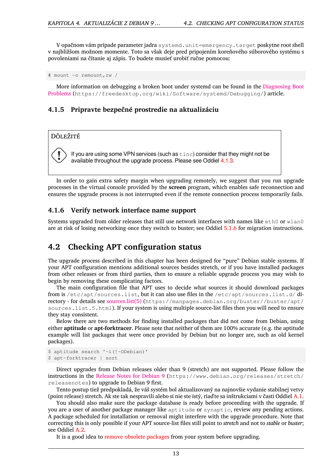<span id="page-18-3"></span>V opačnom vám prípade parameter jadra systemd.unit=emergency.target poskytne root shell v najbližšom možnom momente. Toto sa však deje pred pripojením koreňového súborového systému s povoleniami na čítanie aj zápis. To budete musieť urobiť ručne pomocou:

# mount -o remount,rw /

More information on debugging a broken boot under systemd can be found in the Diagnosing Boot Problems (https://freedesktop.org/wiki/Software/systemd/Debugging/) article.

#### **4.1.5 Pripravte bezpečné prostredie na aktualizáciu**

#### <span id="page-18-0"></span>Dôležité

If you are using some VPN services (such as  $tinc$ ) consider that they might not be available throughout the upgrade process. Please see Oddiel 4.1.3.

In order to gain extra safety margin when upgrading remotely, we suggest that you run upgrade processes in the virtual console provided by the **screen** program, wh[ich en](#page-16-4)ables safe reconnection and ensures the upgrade process is not interrupted even if the remote connection process temporarily fails.

#### **4.1.6 Verify network interface name support**

Systems upgraded from older releases that still use network interfaces with names like  $\epsilon$ th0 or wlan0 are at risk of losing networking once they switch to buster; see Oddiel 5.1.6 for migration instructions.

## <span id="page-18-1"></span>**4.2 Checking APT configuration status**

<span id="page-18-2"></span>The upgrade process described in this chapter has been designed for ["pure](#page-31-1)" Debian stable systems. If your APT configuration mentions additional sources besides stretch, or if you have installed packages from other releases or from third parties, then to ensure a reliable upgrade process you may wish to begin by removing these complicating factors.

The main configuration file that APT uses to decide what sources it should download packages from is /etc/apt/sources.list, but it can also use files in the /etc/apt/sources.list.d/ directory - for details see sources.list(5) (https://manpages.debian.org/buster//buster/apt/ sources.list.5.html). If your system is using multiple source-list files then you will need to ensure they stay consistent.

Below there are two methods for finding installed packages that did not come from Debian, using either **aptitude** or **apt-[forktracer](https://manpages.debian.org/buster//buster/apt/sources.list.5.html)**. Please note that neither of them are 100% accurate (e.g. the aptitude example will list packages that were once provided by Debian but no longer are, such as old kernel packages).

```
$ aptitude search '~i(!~ODebian)'
$ apt-forktracer | sort
```
Direct upgrades from Debian releases older than 9 (stretch) are not supported. Please follow the instructions in the Release Notes for Debian 9 (https://www.debian.org/releases/stretch/ releasenotes) to upgrade to Debian 9 first.

Tento postup tiež predpokladá, že váš systém bol aktualizovaný na najnovšie vydanie stabilnej vetvy (point release) stretch. Ak ste tak nespravili alebo si nie ste istý, riaďte sa inštrukciami v časti Oddiel A.1.

You should als[o make sure the package da](https://www.debian.org/releases/stretch/releasenotes)tabase is ready before proceeding with the upgrade. If you are a user of another package manager like aptitude or synaptic, review any pending actions. A package scheduled for installation or removal might interfere with the upgrade procedure. Note that correcting this is only possible if your APT source-list files still point to *stretch* and not to *stable* or *bu[ster](#page-42-1)*; see Oddiel A.2.

It is a good idea to remove obsolete packages from your system before upgrading.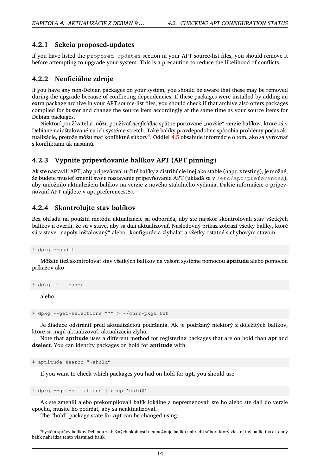#### **4.2.1 Sekcia proposed-updates**

If you have listed the proposed-updates section in your APT source-list files, you should remove it before attempting to upgrade your system. This is a precaution to reduce the likelihood of conflicts.

#### <span id="page-19-0"></span>**4.2.2 Neoficiálne zdroje**

<span id="page-19-1"></span>If you have any non-Debian packages on your system, you should be aware that these may be removed during the upgrade because of conflicting dependencies. If these packages were installed by adding an extra package archive in your APT source-list files, you should check if that archive also offers packages compiled for buster and change the source item accordingly at the same time as your source items for Debian packages.

Niektorí používatelia môžu používať *neoficiálne* spätne portované "novšie" verzie balíkov, ktoré *sú* v Debiane nainštalované na ich systéme stretch. Také balíky pravdepodobne spôsobia problémy počas aktualizácie, pretože môžu mať konfliktné súbory<sup>4</sup>. Oddiel 4.5 obsahuje informácie o tom, ako sa vyrovnať s konfliktami ak nastanú.

#### **4.2.3 Vypnite pripevňovanie balík[o](#page-19-4)v APT [\(AP](#page-25-2)T pinning)**

<span id="page-19-2"></span>Ak ste nastavili APT, aby pripevňoval určité balíky z distribúcie inej ako stable (napr. z testing), je možné, že budete musieť zmeniť svoje nastavenie pripevňovania APT (ukladá sa v /etc/apt/preferences), aby umožnilo aktualizáciu balíkov na verzie z nového stabilného vydania. Ďalšie informácie o pripevňovaní APT nájdete v apt\_preferences(5).

#### **4.2.4 Skontrolujte stav balíkov**

Bez ohľadu na použitú metódu aktualizácie sa odporúča, aby ste najskôr skontrolovali stav všetkých balíkov a overili, že sú v stave, aby sa dali aktualizovať. Nasledovný príkaz zobrazí všetky balíky, ktoré sú v stave "napoly inštalovaný" alebo "konfigurácia zlyhala" a všetky ostatné s chybovým stavom.

<span id="page-19-3"></span># dpkg --audit

Môžete tiež skontrolovať stav všetkých balíkov na vašom systéme pomocou **aptitude** alebo pomocou príkazov ako

# dpkg -l | pager

alebo

# dpkg --get-selections "\*" > ~/curr-pkgs.txt

Je žiaduce odstrániť pred aktualizáciou podržania. Ak je podržaný niektorý z dôležitých balíkov, ktoré sa majú aktualizovať, aktualizácia zlyhá.

Note that **aptitude** uses a different method for registering packages that are on hold than **apt** and **dselect**. You can identify packages on hold for **aptitude** with

# aptitude search "~ahold"

If you want to check which packages you had on hold for **apt**, you should use

# dpkg --get-selections | grep 'hold\$'

Ak ste zmenili alebo prekompilovali balík lokálne a nepremenovali ste ho alebo ste dali do verzie epochu, musíte ho podržať, aby sa neaktualizoval.

The "hold" package state for **apt** can be changed using:

<span id="page-19-4"></span><sup>4</sup>Systém správy balíkov Debianu za bežných okolností neumožňuje balíku nahradiť súbor, ktorý vlastní iný balík, iba ak daný balík nahrádza tento vlastniaci balík.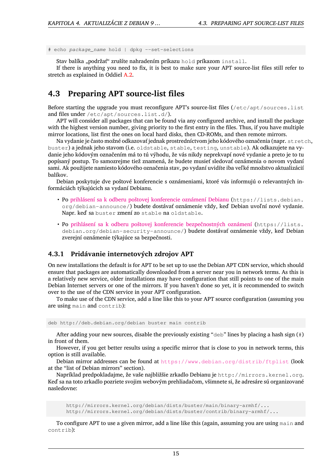# echo *package\_name* hold | dpkg --set-selections

Stav balíka "podržať" zrušíte nahradením príkazu hold príkazom install.

If there is anything you need to fix, it is best to make sure your APT source-list files still refer to stretch as explained in Oddiel A.2.

## **4.3 Preparing APT source-list files**

Before starting the upgrade y[ou m](#page-42-2)ust reconfigure APT's source-list files (/etc/apt/sources.list and files under /etc/apt/sources.list.d/).

<span id="page-20-0"></span>APT will consider all packages that can be found via any configured archive, and install the package with the highest version number, giving priority to the first entry in the files. Thus, if you have multiple mirror locations, list first the ones on local hard disks, then CD-ROMs, and then remote mirrors.

Na vydanie je často možné odkazovať jednak prostredníctvom jeho kódového označenia (napr. stretch, buster) a jednak jeho stavom (i.e. oldstable, stable, testing, unstable). Ak odkazujete na vydanie jeho kódovým označením má to tú výhodu, že vás nikdy neprekvapí nové vydanie a preto je to tu popísaný postup. To samozrejme tiež znamená, že budete musieť sledovať oznámenia o novom vydaní sami. Ak použijete namiesto kódového označenia stav, po vydaní uvidíte iba veľké množstvo aktualizácií balíkov.

Debian poskytuje dve poštové konferencie s oznámeniami, ktoré vás informujú o relevantných informáciách týkajúcich sa vydaní Debianu.

- Po prihlásení sa k odberu poštovej konferencie oznámení Debianu (https://lists.debian. org/debian-announce/) budete dostávať oznámenie vždy, keď Debian uvoľní nové vydanie. Napr. keď sa buster zmení zo stable na oldstable.
- Po [prihlásení sa k odberu poštovej konferencie bezpečnostných o](https://lists.debian.org/debian-announce/)známení (https://lists. debian.org/debian-security-announce/) budete dostávať oznámenie vždy, keď Debian zverejní oznámenie týkajúce sa bezpečnosti.

#### **4.3.1 [Pridávanie internetových zdrojov APT](https://lists.debian.org/debian-security-announce/)**

<span id="page-20-1"></span>On new installations the default is for APT to be set up to use the Debian APT CDN service, which should ensure that packages are automatically downloaded from a server near you in network terms. As this is a relatively new service, older installations may have configuration that still points to one of the main Debian Internet servers or one of the mirrors. If you haven't done so yet, it is recommended to switch over to the use of the CDN service in your APT configuration.

To make use of the CDN service, add a line like this to your APT source configuration (assuming you are using main and contrib):

deb http://deb.debian.org/debian buster main contrib

After adding your new sources, disable the previously existing "deb" lines by placing a hash sign  $(\dagger)$ in front of them.

However, if you get better results using a specific mirror that is close to you in network terms, this option is still available.

Debian mirror addresses can be found at https://www.debian.org/distrib/ftplist (look at the "list of Debian mirrors" section).

Napríklad predpokladajme, že vaše najbližšie zrkadlo Debianu je http://mirrors.kernel.org. Keď sa na toto zrkadlo pozriete svojim webovým prehliadačom, všimnete si, že adresáre sú organizované nasledovne:

```
http://mirrors.kernel.org/debian/dists/buster/main/binary-armhf/...
http://mirrors.kernel.org/debian/dists/buster/contrib/binary-armhf/...
```
To configure APT to use a given mirror, add a line like this (again, assuming you are using main and contrib):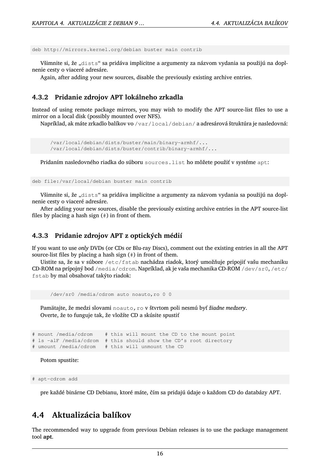<span id="page-21-3"></span>deb http://mirrors.kernel.org/debian buster main contrib

Všimnite si, že "dists" sa pridáva implicitne a argumenty za názvom vydania sa použijú na doplnenie cesty o viaceré adresáre.

Again, after adding your new sources, disable the previously existing archive entries.

#### <span id="page-21-0"></span>**4.3.2 Pridanie zdrojov APT lokálneho zrkadla**

Instead of using remote package mirrors, you may wish to modify the APT source-list files to use a mirror on a local disk (possibly mounted over NFS).

Napríklad, ak máte zrkadlo balíkov vo /var/local/debian/ a adresárová štruktúra je nasledovná:

```
/var/local/debian/dists/buster/main/binary-armhf/...
/var/local/debian/dists/buster/contrib/binary-armhf/...
```
Pridaním nasledovného riadka do súboru sources.list ho môžete použiť v systéme apt:

deb file:/var/local/debian buster main contrib

Všimnite si, že "dists" sa pridáva implicitne a argumenty za názvom vydania sa použijú na doplnenie cesty o viaceré adresáre.

After adding your new sources, disable the previously existing archive entries in the APT source-list files by placing a hash sign  $(*)$  in front of them.

#### <span id="page-21-1"></span>**4.3.3 Pridanie zdrojov APT z optických médií**

If you want to use *only* DVDs (or CDs or Blu-ray Discs), comment out the existing entries in all the APT source-list files by placing a hash sign (#) in front of them.

Uistite sa, že sa v súbore /etc/fstab nachádza riadok, ktorý umožňuje pripojiť vašu mechaniku CD-ROM na prípojný bod /media/cdrom. Napríklad, ak je vaša mechanika CD-ROM /dev/sr0, /etc/ fstab by mal obsahovať takýto riadok:

/dev/sr0 /media/cdrom auto noauto,ro 0 0

Pamätajte, že medzi slovami noauto,ro v štvrtom poli nesmú byť *žiadne medzery*. Overte, že to funguje tak, že vložíte CD a skúsite spustiť

```
# mount /media/cdrom # this will mount the CD to the mount point
# ls -alF /media/cdrom # this should show the CD's root directory
# umount /media/cdrom # this will unmount the CD
```
Potom spustite:

# apt-cdrom add

pre každé binárne CD Debianu, ktoré máte, čím sa pridajú údaje o každom CD do databázy APT.

## <span id="page-21-2"></span>**4.4 Aktualizácia balíkov**

The recommended way to upgrade from previous Debian releases is to use the package management tool **apt**.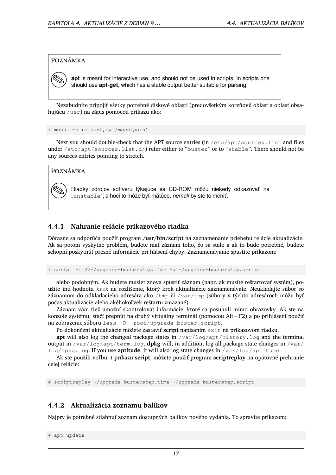#### POZNÁMKA

**apt** is meant for interactive use, and should not be used in scripts. In scripts one should use **apt-get**, which has a stable output better suitable for parsing.

Nezabudnite pripojiť všetky potrebné diskové oblasti (predovšetkým koreňovú oblasť a oblasť obsahujúcu /usr) na zápis pomocou príkazu ako:

```
# mount -o remount,rw /mountpoint
```
Next you should double-check that the APT source entries (in /etc/apt/sources.list and files under /etc/apt/sources.list.d/) refer either to "buster" or to "stable". There should not be any sources entries pointing to stretch.

POZNÁMKA

Riadky zdrojov softvéru týkajúce sa CD-ROM môžu niekedy odkazovať na ", unstable"; a hoci to môže byť mätúce, *nemali* by ste to meniť.

#### <span id="page-22-0"></span>**4.4.1 Nahranie relácie príkazového riadka**

Dôrazne sa odporúča použiť program **/usr/bin/script** na zaznamenanie priebehu relácie aktualizácie. Ak sa potom vyskytne problém, budete mať záznam toho, čo sa stalo a ak to bude potrebné, budete schopní poskytnúť presné informácie pri hlásení chyby. Zaznamenávanie spustíte príkazom:

# script -t 2>~/upgrade-buster*step*.time -a ~/upgrade-buster*step*.script

alebo podobným. Ak budete musieť znova spustiť záznam (napr. ak musíte reštartovať systém), použite inú hodnotu *krok* na rozlíšenie, ktorý krok aktualizácie zaznamenávate. Neukladajte súbor so záznamom do odkladacieho adresára ako /tmp či /var/tmp (súbory v týchto adresároch môžu byť počas aktualizácie alebo akéhokoľvek reštartu zmazané).

Záznam vám tiež umožní skontrolovať informácie, ktoré sa posunuli mimo obrazovky. Ak ste na konzole systému, stačí prepnúť na druhý virtuálny terminál (pomocou Alt+F2) a po prihlásení použiť na zobrazenie súboru less -R ~root/upgrade-buster.script.

Po dokončení aktualizácie môžete zastaviť **script** napísaním exit na príkazovom riadku.

**apt** will also log the changed package states in /var/log/apt/history.log and the terminal output in /var/log/apt/term.log. **dpkg** will, in addition, log all package state changes in /var/ log/dpkg.log. If you use **aptitude**, it will also log state changes in /var/log/aptitude.

Ak ste použili voľbu *-t* príkazu **script**, môžete použiť program **scriptreplay** na opätovné prehranie celej relácie:

# scriptreplay ~/upgrade-buster*step*.time ~/upgrade-buster*step*.script

#### <span id="page-22-1"></span>**4.4.2 Aktualizácia zoznamu balíkov**

Najprv je potrebné stiahnuť zoznam dostupných balíkov nového vydania. To spravíte príkazom:

```
# apt update
```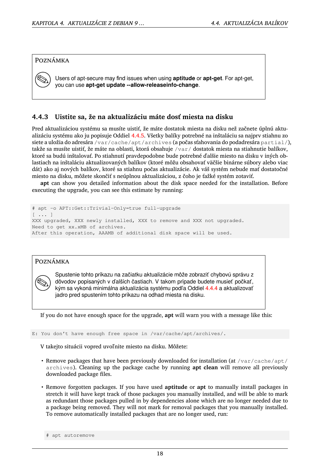#### POZNÁMKA



Users of apt-secure may find issues when using **aptitude** or **apt-get**. For apt-get, you can use **apt-get update --allow-releaseinfo-change**.

#### **4.4.3 Uistite sa, že na aktualizáciu máte dosť miesta na disku**

<span id="page-23-0"></span>Pred aktualizáciou systému sa musíte uistiť, že máte dostatok miesta na disku než začnete úplnú aktualizáciu systému ako ju popisuje Oddiel 4.4.5. Všetky balíky potrebné na inštaláciu sa najprv stiahnu zo siete a uložia do adresára /var/cache/apt/archives (a počas sťahovania do podadresára partial/), takže sa musíte uistiť, že máte na oblasti, ktorá obsahuje /var/ dostatok miesta na stiahnutie balíkov, ktoré sa budú inštalovať. Po stiahnutí pravdepodobne bude potrebné ďalšie miesto na disku v iných oblastiach na inštaláciu aktualizovaných b[alíkov](#page-25-1) (ktoré môžu obsahovať väčšie binárne súbory alebo viac dát) ako aj nových balíkov, ktoré sa stiahnu počas aktualizácie. Ak váš systém nebude mať dostatočné miesto na disku, môžete skončiť s neúplnou aktualizáciou, z čoho je ťažké systém zotaviť.

**apt** can show you detailed information about the disk space needed for the installation. Before executing the upgrade, you can see this estimate by running:

```
# apt -o APT::Get::Trivial-Only=true full-upgrade
[ ... ]
XXX upgraded, XXX newly installed, XXX to remove and XXX not upgraded.
Need to get xx.xMB of archives.
After this operation, AAAMB of additional disk space will be used.
```
#### POZNÁMKA

Spustenie tohto príkazu na začiatku aktualizácie môže zobraziť chybovú správu z dôvodov popísaných v ďalších častiach. V takom prípade budete musieť počkať, kým sa vykoná minimálna aktualizácia systému podľa Oddiel 4.4.4 a aktualizovať jadro pred spustením tohto príkazu na odhad miesta na disku.

If you do not have enough space for the upgrade, **apt** will warn y[ou wit](#page-25-0)h a message like this:

E: You don't have enough free space in /var/cache/apt/archives/.

V takejto situácii vopred uvoľnite miesto na disku. Môžete:

- Remove packages that have been previously downloaded for installation (at /var/cache/apt/ archives). Cleaning up the package cache by running **apt clean** will remove all previously downloaded package files.
- Remove forgotten packages. If you have used **aptitude** or **apt** to manually install packages in stretch it will have kept track of those packages you manually installed, and will be able to mark as redundant those packages pulled in by dependencies alone which are no longer needed due to a package being removed. They will not mark for removal packages that you manually installed. To remove automatically installed packages that are no longer used, run:

```
apt autoremove
```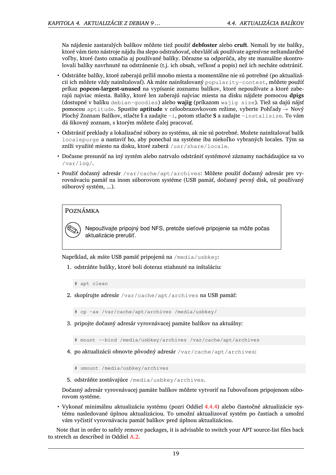<span id="page-24-0"></span>Na nájdenie zastaralých balíkov môžete tiež použiť **debfoster** alebo **cruft**. Nemali by ste balíky, ktoré vám tieto nástroje nájdu iba slepo odstraňovať, obzvlášť ak používate agresívne neštandardné voľby, ktoré často označia aj používané balíky. Dôrazne sa odporúča, aby ste manuálne skontrolovali balíky navrhnuté na odstránenie (t.j. ich obsah, veľkosť a popis) než ich necháte odstrániť.

- Odstráňte balíky, ktoré zaberajú príliš mnoho miesta a momentálne nie sú potrebné (po aktualizácii ich môžete vždy nainštalovať). Ak máte nainštalovaný popularity-contest, môžete použiť príkaz **popcon-largest-unused** na vypísanie zoznamu balíkov, ktoré nepoužívate a ktoré zaberajú najviac miesta. Balíky, ktoré len zaberajú najviac miesta na disku nájdete pomocou **dpigs** (dostupné v balíku debian-goodies) alebo **wajig** (príkazom wajig size). Tiež sa dajú nájsť pomocou aptitude. Spustite **aptitude** v celoobrazovkovom režime, vyberte Pohľady *→* Nový Plochý Zoznam Balíkov, stlačte **l** a zadajte ~i, potom stlačte **S** a zadajte ~installsize. To vám dá šikovný zoznam, s ktorým môžete ďalej pracovať.
- Odstrániť preklady a lokalizačné súbory zo systému, ak nie sú potrebné. Možete nainštalovať balík localepurge a nastaviť ho, aby ponechal na systéme iba niekoľko vybraných locales. Tým sa zníži využité miesto na disku, ktoré zaberá /usr/share/locale.
- Dočasne presunúť na iný systém alebo natrvalo odstrániť systémové záznamy nachádzajúce sa vo /var/log/.
- Použiť dočasný adresár /var/cache/apt/archives: Môžete použiť dočasný adresár pre vyrovnávaciu pamäť na inom súborovom systéme (USB pamäť, dočasný pevný disk, už používaný súborový systém, ...).





Nepoužívajte prípojný bod NFS, pretože sieťové pripojenie sa môže počas aktualizácie prerušiť.

Napríklad, ak máte USB pamäť pripojenú na /media/usbkey:

1. odstráňte balíky, ktoré boli doteraz stiahnuté na inštaláciu:

# apt clean

2. skopírujte adresár /var/cache/apt/archives na USB pamäť:

# cp -ax /var/cache/apt/archives /media/usbkey/

3. pripojte dočasný adresár vyrovnávacej pamäte balíkov na aktuálny:

# mount --bind /media/usbkey/archives /var/cache/apt/archives

4. po aktualizácii obnovte pôvodný adresár /var/cache/apt/archives:

# umount /media/usbkey/archives

5. odstráňte zostávajúce /media/usbkey/archives.

Dočasný adresár vyrovnávacej pamäte balíkov môžete vytvoriť na ľubovoľnom pripojenom súborovom systéme.

• Vykonať minimálnu aktualizáciu systému (pozri Oddiel 4.4.4) alebo čiastočné aktualizácie systému nasledované úplnou aktualizáciou. To umožní aktualizovať systém po častiach a umožní vám vyčistiť vyrovnávaciu pamäť balíkov pred úplnou aktualizáciou.

Note that in order to safely remove packages, it is advisable [to sw](#page-25-0)itch your APT source-list files back to stretch as described in Oddiel A.2.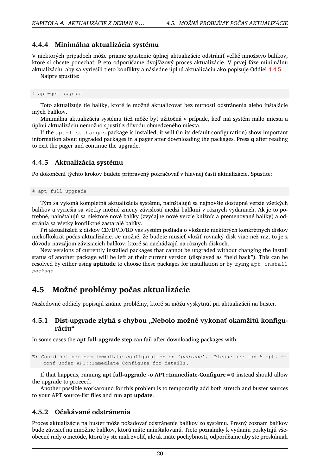#### **4.4.4 Minimálna aktualizácia systému**

<span id="page-25-3"></span>V niektorých prípadoch môže priame spustenie úplnej aktualizácie odstrániť veľké množstvo balíkov, ktoré si chcete ponechať. Preto odporúčame dvojfázový proces aktualizácie. V prvej fáze minimálnu aktualizáciu, aby sa vyriešili tieto konflikty a následne úplnú aktualizáciu ako popisuje Oddiel 4.4.5.

<span id="page-25-0"></span>Najprv spustite:

# apt-get upgrade

Toto aktualizuje tie balíky, ktoré je možné aktualizovať bez nutnosti odstránenia alebo inštalácie iných balíkov.

Minimálna aktualizácia systému tiež môže byť užitočná v prípade, keď má systém málo miesta a úplnú aktualizáciu nemožno spustiť z dôvodu obmedzeného miesta.

If the apt-listchanges package is installed, it will (in its default configuration) show important information about upgraded packages in a pager after downloading the packages. Press **q** after reading to exit the pager and continue the upgrade.

#### **4.4.5 Aktualizácia systému**

Po dokončení týchto krokov budete pripravený pokračovať v hlavnej časti aktualizácie. Spustite:

<span id="page-25-1"></span># apt full-upgrade

Tým sa vykoná kompletná aktualizácia systému, nainštalujú sa najnovšie dostupné verzie všetkých balíkov a vyriešia sa všetky možné zmeny závislostí medzi balíkmi v rôznych vydaniach. Ak je to potrebné, nainštalujú sa niektoré nové balíky (zvyčajne nové verzie knižníc a premenované balíky) a odstránia sa všetky konfliktné zastaralé balíky.

Pri aktualizácii z diskov CD/DVD/BD vás systém požiada o vloženie niektorých konkrétnych diskov niekoľkokrát počas aktualizácie. Je možné, že budete musieť vložiť rovnaký disk viac než raz; to je z dôvodu navzájom závisiacich balíkov, ktoré sa nachádzajú na rôznych diskoch.

New versions of currently installed packages that cannot be upgraded without changing the install status of another package will be left at their current version (displayed as "held back"). This can be resolved by either using **aptitude** to choose these packages for installation or by trying apt install *package*.

## **4.5 Možné problémy počas aktualizácie**

Nasledovné oddiely popisujú známe problémy, ktoré sa môžu vyskytnúť pri aktualizácii na buster.

#### <span id="page-25-2"></span>**4.5.1 Dist-upgrade zlyhá s chybou "Nebolo možné vykonať okamžitú konfiguráciu"**

In some cases the **apt full-upgrade** step can fail after downloading packages with:

```
E: Could not perform immediate configuration on 'package'. Please see man 5 apt. ←-
   conf under APT::Immediate-Configure for details.
```
If that happens, running **apt full-upgrade -o APT::Immediate-Configure=0** instead should allow the upgrade to proceed.

Another possible workaround for this problem is to temporarily add both stretch and buster sources to your APT source-list files and run **apt update**.

#### **4.5.2 Očakávané odstránenia**

Proces aktualizácie na buster môže požadovať odstránenie balíkov zo systému. Presný zoznam balíkov bude závisieť na množine balíkov, ktorú máte nainštalovanú. Tieto poznámky k vydaniu poskytujú všeobecné rady o metóde, ktorú by ste mali zvoliť, ale ak máte pochybnosti, odporúčame aby ste preskúmali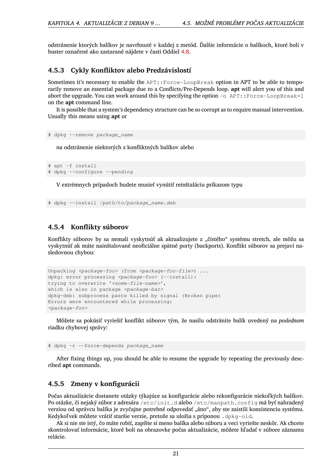odstránenie ktorých balíkov je navrhnuté v každej z metód. Ďalšie informácie o balíkoch, ktoré boli v buster označené ako zastarané nájdete v časti Oddiel 4.8.

#### **4.5.3 Cykly Konfliktov alebo Predzávislostí**

Sometimes it's necessary to enable the APT::Force[-Lo](#page-28-2)opBreak option in APT to be able to temporarily remove an essential package due to a Conflicts/Pre-Depends loop. **apt** will alert you of this and abort the upgrade. You can work around this by specifying the option  $-\circ$  APT::Force-LoopBreak=1 on the **apt** command line.

<span id="page-26-0"></span>It is possible that a system's dependency structure can be so corrupt as to require manual intervention. Usually this means using **apt** or

```
# dpkg --remove package_name
```
na odstránenie niektorých z konfliktných balíkov alebo

```
# apt -f install
# dpkg --configure --pending
```
V extrémnych prípadoch budete musieť vynútiť reinštaláciu príkazom typu

```
# dpkg --install /path/to/package_name.deb
```
#### **4.5.4 Konflikty súborov**

<span id="page-26-1"></span>Konflikty súborov by sa nemali vyskytnúť ak aktualizujete z "čistého" systému stretch, ale môžu sa vyskytnúť ak máte nainštalované neoficiálne spätné porty (backports). Konflikt súborov sa prejaví nasledovnou chybou:

```
Unpacking <package-foo> (from <package-foo-file>) ...
dpkg: error processing <package-foo> (--install):
trying to overwrite '<some-file-name>',
which is also in package <package-bar>
dpkg-deb: subprocess paste killed by signal (Broken pipe)
Errors were encountered while processing:
<package-foo>
```
Môžete sa pokúsiť vyriešiť konflikt súborov tým, že nasilu odstránite balík uvedený na *poslednom* riadku chybovej správy:

# dpkg -r --force-depends *package\_name*

After fixing things up, you should be able to resume the upgrade by repeating the previously described **apt** commands.

#### **4.5.5 Zmeny v konfigurácii**

Počas aktualizácie dostanete otázky týkajúce sa konfigurácie alebo rekonfigurácie niekoľkých balíkov. Po otázke, či nejaký súbor z adresára /etc/init.d alebo /etc/manpath.config má byť nahradený verziou od správcu balíka je zvyčajne potrebné odpovedať "áno", aby ste zaistili konzistenciu systému. Kedykoľvek môžete vrátiť staršie verzie, pretože sa uložia s príponou .dpkg-old.

<span id="page-26-2"></span>Ak si nie ste istý, čo máte robiť, zapíšte si meno balíka alebo súboru a veci vyriešte neskôr. Ak chcete skontrolovať informácie, ktoré boli na obrazovke počas aktualizácie, môžete hľadať v súbore záznamu relácie.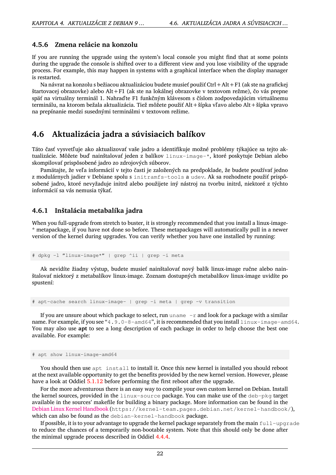#### <span id="page-27-3"></span>**4.5.6 Zmena relácie na konzolu**

If you are running the upgrade using the system's local console you might find that at some points during the upgrade the console is shifted over to a different view and you lose visibility of the upgrade process. For example, this may happen in systems with a graphical interface when the display manager is restarted.

<span id="page-27-0"></span>Na návrat na konzolu s bežiacou aktualizáciou budete musieť použiť Ctrl+Alt+F1 (ak ste na grafickej štartovacej obrazovke) alebo Alt+F1 (ak ste na lokálnej obrazovke v textovom režme), čo vás prepne späť na virtuálny terminál 1. Nahraďte F1 funkčným klávesom s číslom zodpovedajúcim virtuálnemu terminálu, na ktorom bežala aktualizácia. Tiež môžete použiť Alt+šípka vľavo alebo Alt+šípka vpravo na prepínanie medzi susednými terminálmi v textovom režime.

## **4.6 Aktualizácia jadra a súvisiacich balíkov**

<span id="page-27-1"></span>Táto časť vysvetľuje ako aktualizovať vaše jadro a identifikuje možné problémy týkajúce sa tejto aktualizácie. Môžete buď nainštalovať jeden z balíkov linux-image-\*, ktoré poskytuje Debian alebo skompilovať prispôsobené jadro zo zdrojových súborov.

Pamätajte, že veľa informácií v tejto časti je založených na predpoklade, že budete používať jedno z modulárnych jadier v Debiane spolu s initramfs-tools a udev. Ak sa rozhodnete použiť prispôsobené jadro, ktoré nevyžaduje initrd alebo použijete iný nástroj na tvorbu initrd, niektoré z týchto informácií sa vás nemusia týkať.

#### **4.6.1 Inštalácia metabalíka jadra**

<span id="page-27-2"></span>When you full-upgrade from stretch to buster, it is strongly recommended that you install a linux-image- \* metapackage, if you have not done so before. These metapackages will automatically pull in a newer version of the kernel during upgrades. You can verify whether you have one installed by running:

# dpkg -l "linux-image\*" | grep ^ii | grep -i meta

Ak nevidíte žiadny výstup, budete musieť nainštalovať nový balík linux-image ručne alebo nainštalovať niektorý z metabalíkov linux-image. Zoznam dostupných metabalíkov linux-image uvidíte po spustení:

# apt-cache search linux-image- | grep -i meta | grep -v transition

If you are unsure about which package to select, run uname  $-r$  and look for a package with a similar name. For example, if you see "4.9.0-8-amd64", it is recommended that you install linux-image-amd64. You may also use **apt** to see a long description of each package in order to help choose the best one available. For example:

# apt show linux-image-amd64

You should then use apt install to install it. Once this new kernel is installed you should reboot at the next available opportunity to get the benefits provided by the new kernel version. However, please have a look at Oddiel 5.1.12 before performing the first reboot after the upgrade.

For the more adventurous there is an easy way to compile your own custom kernel on Debian. Install the kernel sources, provided in the linux-source package. You can make use of the deb-pkg target available in the sources' makefile for building a binary package. More information can be found in the Debian Linux Kernel [Handboo](#page-33-1)k (https://kernel-team.pages.debian.net/kernel-handbook/), which can also be found as the debian-kernel-handbook package.

If possible, it is to your advantage to upgrade the kernel package separately from the main  $full$ -upgrade to reduce the chances of a temporarily non-bootable system. Note that this should only be done after [the minimal upgrade process d](https://kernel-team.pages.debian.net/kernel-handbook/)escribed in Oddiel 4.4.4.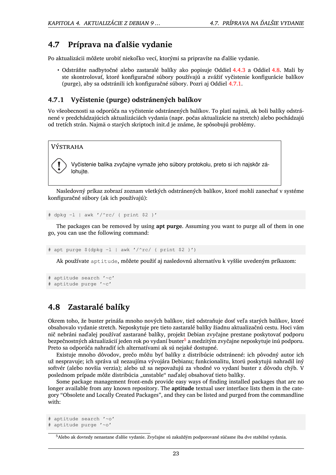## **4.7 Príprava na ďalšie vydanie**

Po aktualizácii môžete urobiť niekoľko vecí, ktorými sa pripravíte na ďalšie vydanie.

<span id="page-28-0"></span>• Odstráňte nadbytočné alebo zastaralé balíky ako popisuje Oddiel 4.4.3 a Oddiel 4.8. Mali by ste skontrolovať, ktoré konfiguračné súbory používajú a zvážiť vyčistenie konfigurácie balíkov (purge), aby sa odstránili ich konfiguračné súbory. Pozri aj Oddiel 4.7.1.

#### **4.7.1 Vyčistenie (purge) odstránených balíkov**

<span id="page-28-1"></span>Vo všeobecnosti sa odporúča na vyčistenie odstránených balíkov. To pla[tí najm](#page-28-1)ä, ak boli balíky odstránené v predchádzajúcich aktualizáciách vydania (napr. počas aktualizácie na stretch) alebo pochádzajú od tretích strán. Najmä o starých skriptoch init.d je známe, že spôsobujú problémy.

#### VÝSTRAHA

Vyčistenie balíka zvyčajne vymaže jeho súbory protokolu, preto si ich najskôr zálohujte.

Nasledovný príkaz zobrazí zoznam všetkých odstránených balíkov, ktoré mohli zanechať v systéme konfiguračné súbory (ak ich používajú):

```
# dpkg -l | awk '/^rc/ { print $2 }'
```
The packages can be removed by using **apt purge**. Assuming you want to purge all of them in one go, you can use the following command:

# apt purge \$(dpkg -l | awk '/^rc/ { print \$2 }')

Ak používate aptitude, môžete použiť aj nasledovnú alternatívu k vyššie uvedeným príkazom:

```
# aptitude search '~c'
# aptitude purge '~c'
```
### **4.8 Zastaralé balíky**

<span id="page-28-2"></span>Okrem toho, že buster prináša mnoho nových balíkov, tiež odstraňuje dosť veľa starých balíkov, ktoré obsahovalo vydanie stretch. Neposkytuje pre tieto zastaralé balíky žiadnu aktualizačnú cestu. Hoci vám nič nebráni naďalej používať zastarané balíky, projekt Debian zvyčajne prestane poskytovať podporu bezpečnostných aktualizácií jeden rok po vydaní buster<sup>5</sup> a medzitým zvyčajne neposkytuje inú podporu. Preto sa odporúča nahradiť ich alternatívami ak sú nejaké dostupné.

Existuje mnoho dôvodov, prečo môžu byť balíky z distribúcie odstránené: ich pôvodný autor ich už nespravuje; ich správa už nezaujíma vývojára Debianu; funkcionalitu, ktorú poskytujú nahradil iný softvér (alebo novšia verzia); alebo už sa nepovažujú [z](#page-28-3)a vhodné vo vydaní buster z dôvodu chýb. V poslednom prípade môže distribúcia "unstable" naďalej obsahovať tieto balíky.

Some package management front-ends provide easy ways of finding installed packages that are no longer available from any known repository. The **aptitude** textual user interface lists them in the category "Obsolete and Locally Created Packages", and they can be listed and purged from the commandline with:

```
# aptitude search '~o'
# aptitude purge '~o'
```
<span id="page-28-3"></span><sup>5</sup>Alebo ak dovtedy nenastane ďalšie vydanie. Zvyčajne sú zakaždým podporované súčasne iba dve stabilné vydania.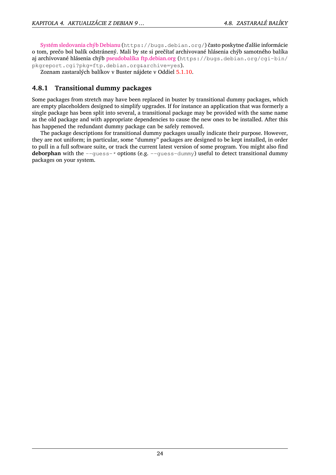Systém sledovania chýb Debianu (https://bugs.debian.org/) často poskytne ďalšie informácie o tom, prečo bol balík odstránený. Mali by ste si prečítať archivované hlásenia chýb samotného balíka aj archivované hlásenia chýb pseudobalíka ftp.debian.org (https://bugs.debian.org/cgi-bin/ pkgreport.cgi?pkg=ftp.debian.org&archive=yes).

[Zoznam zastaralých balíkov v Bu](https://bugs.debian.org/)ster nájdete v Oddiel 5.1.10.

### **4.8.1 Transitional du[mmy packages](https://bugs.debian.org/cgi-bin/pkgreport.cgi?pkg=ftp.debian.org&archive=yes)**

<span id="page-29-0"></span>Some packages from stretch may have been replaced in b[uster by](#page-32-3) transitional dummy packages, which are empty placeholders designed to simplify upgrades. If for instance an application that was formerly a single package has been split into several, a transitional package may be provided with the same name as the old package and with appropriate dependencies to cause the new ones to be installed. After this has happened the redundant dummy package can be safely removed.

The package descriptions for transitional dummy packages usually indicate their purpose. However, they are not uniform; in particular, some "dummy" packages are designed to be kept installed, in order to pull in a full software suite, or track the current latest version of some program. You might also find **deborphan** with the --guess-*\** options (e.g. --guess-dummy) useful to detect transitional dummy packages on your system.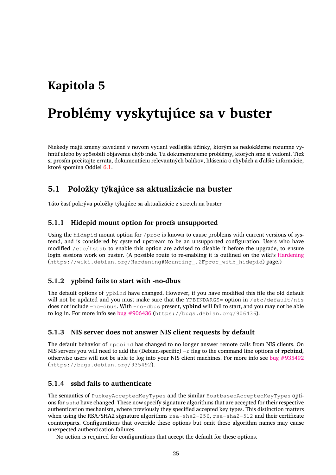# <span id="page-30-6"></span><span id="page-30-0"></span>**Kapitola 5**

# **Problémy vyskytujúce sa v buster**

Niekedy majú zmeny zavedené v novom vydaní vedľajšie účinky, ktorým sa nedokážeme rozumne vyhnúť alebo by spôsobili objavenie chýb inde. Tu dokumentujeme problémy, ktorých sme si vedomí. Tiež si prosím prečítajte errata, dokumentáciu relevantných balíkov, hlásenia o chybách a ďalšie informácie, ktoré spomína Oddiel 6.1.

## **5.1 Položky [týk](#page-38-1)ajúce sa aktualizácie na buster**

Táto časť pokrýva položky týkajúce sa aktualizácie z stretch na buster

#### <span id="page-30-1"></span>**5.1.1 Hidepid mount option for procfs unsupported**

<span id="page-30-2"></span>Using the hidepid mount option for  $/pr \circ c$  is known to cause problems with current versions of systemd, and is considered by systemd upstream to be an unsupported configuration. Users who have modified /etc/fstab to enable this option are advised to disable it before the upgrade, to ensure login sessions work on buster. (A possible route to re-enabling it is outlined on the wiki's Hardening (https://wiki.debian.org/Hardening#Mounting\_.2Fproc\_with\_hidepid) page.)

#### **5.1.2 ypbind fails to start with -no-dbus**

<span id="page-30-3"></span>The default options of ypbind have changed. However, if you have modified this file the old default will not be updated and you must make sure that the YPBINDARGS= option in  $/etc$ /default/nis does not include -no-dbus. With -no-dbus present, **ypbind** will fail to start, and you may not be able to log in. For more info see bug #906436 (https://bugs.debian.org/906436).

#### **5.1.3 NIS server does not answer NIS client requests by default**

<span id="page-30-4"></span>The default behavior of rp[cbind](https://bugs.debian.org/906436) has changed to no longer answer remote calls from NIS clients. On NIS servers you will need to add the (Debian-specific)  $-r$  flag to the command line options of **rpcbind**, otherwise users will not be able to log into your NIS client machines. For more info see bug #935492 (https://bugs.debian.org/935492).

#### **5.1.4 sshd fails to authenticate**

<span id="page-30-5"></span>The semantics of PubkeyAcceptedKeyTypes and the similar HostbasedAcceptedKeyTypes options for sshd have changed. These now specify signature algorithms that are accepted for their respective authentication mechanism, where previously they specified accepted key types. This distinction matters when using the RSA/SHA2 signature algorithms  $rsa-sha2-256$ ,  $rsa-sha2-512$  and their certificate counterparts. Configurations that override these options but omit these algorithm names may cause unexpected authentication failures.

No action is required for configurations that accept the default for these options.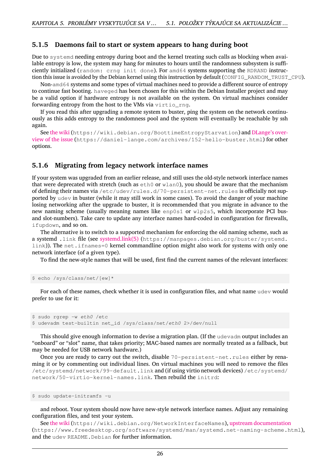#### **5.1.5 Daemons fail to start or system appears to hang during boot**

<span id="page-31-2"></span>Due to systemd needing entropy during boot and the kernel treating such calls as blocking when available entropy is low, the system may hang for minutes to hours until the randomness subsystem is sufficiently initialized (random: crng init done). For amd64 systems supporting the RDRAND instruction this issue is avoided by the Debian kernel using this instruction by default (CONFIG\_RANDOM\_TRUST\_CPU).

<span id="page-31-0"></span>Non-amd64 systems and some types of virtual machines need to provide a different source of entropy to continue fast booting. haveged has been chosen for this within the Debian Installer project and may be a valid option if hardware entropy is not available on the system. On virtual machines consider forwarding entropy from the host to the VMs via virtio\_rng.

If you read this after upgrading a remote system to buster, ping the system on the network continuously as this adds entropy to the randomness pool and the system will eventually be reachable by ssh again.

See the wiki (https://wiki.debian.org/BoottimeEntropyStarvation) and DLange's overview of the issue (https://daniel-lange.com/archives/152-hello-buster.html) for other options.

#### **[5.1.6 Migra](https://daniel-lange.com/archives/152-hello-buster.html)ting from legacy network interface names**

<span id="page-31-1"></span>If your system was upgraded from an earlier release, and still uses the old-style network interface names that were deprecated with stretch (such as  $\epsilon$ th0 or wlan0), you should be aware that the mechanism of defining their names via /etc/udev/rules.d/70-persistent-net.rules is officially not supported by udev in buster (while it may still work in some cases). To avoid the danger of your machine losing networking after the upgrade to buster, it is recommended that you migrate in advance to the new naming scheme (usually meaning names like enp0s1 or wlp2s5, which incorporate PCI busand slot-numbers). Take care to update any interface names hard-coded in configuration for firewalls, ifupdown, and so on.

The alternative is to switch to a supported mechanism for enforcing the old naming scheme, such as a systemd .link file (see systemd.link(5) (https://manpages.debian.org/buster/systemd. link)). The net.ifnames=0 kernel commandline option might also work for systems with only one network interface (of a given type).

To find the new-style n[ames that will be](https://manpages.debian.org/buster/systemd.link) used, first find the current names of the relevant interfaces:

```
$ echo /sys/class/net/[ew]*
```
For each of these names, check whether it is used in configuration files, and what name udev would prefer to use for it:

```
$ sudo rgrep -w eth0 /etc
$ udevadm test-builtin net_id /sys/class/net/eth0 2>/dev/null
```
This should give enough information to devise a migration plan. (If the udevadm output includes an "onboard" or "slot" name, that takes priority; MAC-based names are normally treated as a fallback, but may be needed for USB network hardware.)

Once you are ready to carry out the switch, disable 70-persistent-net.rules either by renaming it or by commenting out individual lines. On virtual machines you will need to remove the files /etc/systemd/network/99-default.link and (if using virtio network devices) /etc/systemd/ network/50-virtio-kernel-names.link. Then rebuild the initrd:

```
$ sudo update-initramfs -u
```
and reboot. Your system should now have new-style network interface names. Adjust any remaining configuration files, and test your system.

See the wiki (https://wiki.debian.org/NetworkInterfaceNames), upstream documentation (https://www.freedesktop.org/software/systemd/man/systemd.net-naming-scheme.html), and the udev README. Debian for further information.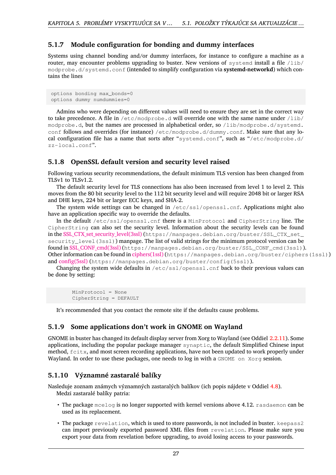#### **5.1.7 Module configuration for bonding and dummy interfaces**

<span id="page-32-4"></span><span id="page-32-0"></span>Systems using channel bonding and/or dummy interfaces, for instance to configure a machine as a router, may encounter problems upgrading to buster. New versions of systemd install a file  $/$ lib/ modprobe.d/systemd.conf (intended to simplify configuration via **systemd-networkd**) which contains the lines

```
options bonding max_bonds=0
options dummy numdummies=0
```
Admins who were depending on different values will need to ensure they are set in the correct way to take precedence. A file in /etc/modprobe.d will override one with the same name under /lib/ modprobe.d, but the names are processed in alphabetical order, so /lib/modprobe.d/systemd. conf follows and overrides (for instance) /etc/modprobe.d/dummy.conf. Make sure that any local configuration file has a name that sorts after "systemd.conf", such as "/etc/modprobe.d/ zz-local.conf".

#### **5.1.8 OpenSSL default version and security level raised**

Following various security recommendations, the default minimum TLS version has been changed from TLSv1 to TLSv1.2.

<span id="page-32-1"></span>The default security level for TLS connections has also been increased from level 1 to level 2. This moves from the 80 bit security level to the 112 bit security level and will require 2048 bit or larger RSA and DHE keys, 224 bit or larger ECC keys, and SHA-2.

The system wide settings can be changed in /etc/ssl/openssl.cnf. Applications might also have an application specific way to override the defaults.

In the default /etc/ssl/openssl.cnf there is a MinProtocol and CipherString line. The CipherString can also set the security level. Information about the security levels can be found in the SSL\_CTX\_set\_security\_level(3ssl) (https://manpages.debian.org/buster/SSL\_CTX\_set\_ security\_level(3ssl)) manpage. The list of valid strings for the minimum protocol version can be found in SSL\_CONF\_cmd(3ssl) (https://manpages.debian.org/buster/SSL\_CONF\_cmd(3ssl)). Other information can be found in ciphers(1ssl) (https://manpages.debian.org/buster/ciphers(1ssl)) and config(5ssl) ([https://manpages](https://manpages.debian.org/buster/SSL_CTX_set_security_level(3ssl)).debian.org/buster/config(5ssl)).

Changing the system wide defaults in /etc/ssl/openssl.cnf back to their previous values can be done [by setting:](https://manpages.debian.org/buster/SSL_CONF_cmd(3ssl))

[MinPro](https://manpages.debian.org/buster/config(5ssl))tocol = None CipherString = DEFAULT

It's recommended that you contact the remote site if the defaults cause problems.

#### **5.1.9 Some applications don't work in GNOME on Wayland**

<span id="page-32-2"></span>GNOME in buster has changed its default display server from Xorg to Wayland (see Oddiel 2.2.11). Some applications, including the popular package manager synaptic, the default Simplified Chinese input method, fcitx, and most screen recording applications, have not been updated to work properly under Wayland. In order to use these packages, one needs to log in with a GNOME on Xorg se[ssion.](#page-12-1)

#### **5.1.10 Významné zastaralé balíky**

Nasleduje zoznam známych významných zastaralých balíkov (ich popis nájdete v Oddiel 4.8). Medzi zastaralé balíky patria:

- <span id="page-32-3"></span>• The package meelog is no longer supported with kernel versions above 4.12. rasdaemon can be used as its replacement.
- The package revelation, which is used to store passwords, is not included in buster. keepass2 can import previously exported password XML files from revelation. Please make sure you export your data from revelation before upgrading, to avoid losing access to your passwords.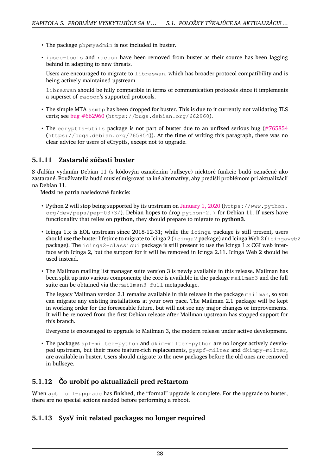- The package phpmyadmin is not included in buster.
- <span id="page-33-3"></span>• ipsec-tools and racoon have been removed from buster as their source has been lagging behind in adapting to new threats.

Users are encouraged to migrate to libreswan, which has broader protocol compatibility and is being actively maintained upstream.

libreswan should be fully compatible in terms of communication protocols since it implements a superset of racoon's supported protocols.

- The simple MTA ssmtp has been dropped for buster. This is due to it currently not validating TLS certs; see bug  $#662960$  (https://bugs.debian.org/662960).
- The ecryptfs-utils package is not part of buster due to an unfixed serious bug (#765854 (https://bugs.debian.org/765854)). At the time of writing this paragraph, there was no clear advi[ce for users of](https://bugs.debian.org/662960) eCryptfs, except not to upgrade.

## **5.1.11 Zastaralé súčasti buster**

S ďalším vydaním Debian 11 (s kódovým označením bullseye) niektoré funkcie budú označené ako zastarané. Používatelia budú musieť migrovať na iné alternatívy, aby predišli problémom pri aktualizácii na Debian 11.

<span id="page-33-0"></span>Medzi ne patria nasledovné funkcie:

- Python 2 will stop being supported by its upstream on January 1, 2020 (https://www.python.  $\sigma$ rg/dev/peps/pep-0373/). Debian hopes to drop python-2.7 for Debian 11. If users have functionality that relies on **python**, they should prepare to migrate to **python3**.
- Icinga 1.x is EOL upstream since 2018-12-31; while the [icinga](https://www.python.org/dev/peps/pep-0373/) package is still present, users should use the buster lifetime to migrate to Icinga 2 (icinga2 package) and Icinga Web 2 (icingaweb2 package). The icinga2-classicui package is still present to use the Icinga 1.x CGI web interface with Icinga 2, but the support for it will be removed in Icinga 2.11. Icinga Web 2 should be used instead.
- The Mailman mailing list manager suite version 3 is newly available in this release. Mailman has been split up into various components; the core is available in the package mailman3 and the full suite can be obtained via the mailman3-full metapackage.

The legacy Mailman version 2.1 remains available in this release in the package mailman, so you can migrate any existing installations at your own pace. The Mailman 2.1 package will be kept in working order for the foreseeable future, but will not see any major changes or improvements. It will be removed from the first Debian release after Mailman upstream has stopped support for this branch.

Everyone is encouraged to upgrade to Mailman 3, the modern release under active development.

• The packages spf-milter-python and dkim-milter-python are no longer actively developed upstream, but their more feature-rich replacements, pyspf-milter and dkimpy-milter, are available in buster. Users should migrate to the new packages before the old ones are removed in bullseye.

## **5.1.12 Čo urobiť po aktualizácii pred reštartom**

When apt full-upgrade has finished, the "formal" upgrade is complete. For the upgrade to buster, there are no special actions needed before performing a reboot.

## <span id="page-33-2"></span><span id="page-33-1"></span>**5.1.13 SysV init related packages no longer required**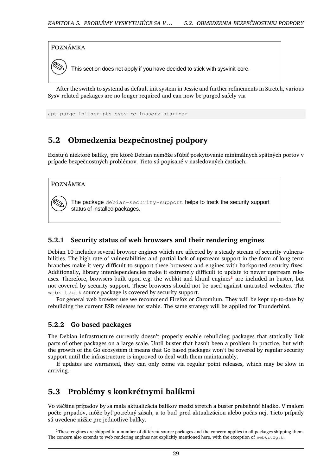POZNÁMKA

This section does not apply if you have decided to stick with sysvinit-core.

After the switch to systemd as default init system in Jessie and further refinements in Stretch, various SysV related packages are no longer required and can now be purged safely via

apt purge initscripts sysv-rc insserv startpar

## **5.2 Obmedzenia bezpečnostnej podpory**

<span id="page-34-0"></span>Existujú niektoré balíky, pre ktoré Debian nemôže sľúbiť poskytovanie minimálnych spätných portov v prípade bezpečnostných problémov. Tieto sú popísané v nasledovných častiach.

#### POZNÁMKA

The package debian-security-support helps to track the security support status of installed packages.

#### **5.2.1 Security status of web browsers and their rendering engines**

<span id="page-34-1"></span>Debian 10 includes several browser engines which are affected by a steady stream of security vulnerabilities. The high rate of vulnerabilities and partial lack of upstream support in the form of long term branches make it very difficult to support these browsers and engines with backported security fixes. Additionally, library interdependencies make it extremely difficult to update to newer upstream releases. Therefore, browsers built upon e.g. the webkit and khtml engines<sup>1</sup> are included in buster, but not covered by security support. These browsers should not be used against untrusted websites. The webkit2gtk source package is covered by security support.

For general web browser use we recommend Firefox or Chromium. They will be kept up-to-date by rebuilding the current ESR releases for stable. The same strategy will be [ap](#page-34-4)plied for Thunderbird.

#### **5.2.2 Go based packages**

The Debian infrastructure currently doesn't properly enable rebuilding packages that statically link parts of other packages on a large scale. Until buster that hasn't been a problem in practice, but with the growth of the Go ecosystem it means that Go based packages won't be covered by regular security support until the infrastructure is improved to deal with them maintainably.

<span id="page-34-2"></span>If updates are warranted, they can only come via regular point releases, which may be slow in arriving.

## **5.3 Problémy s konkrétnymi balíkmi**

<span id="page-34-3"></span>Vo väčšine prípadov by sa mala aktualizácia balíkov medzi stretch a buster prebehnúť hladko. V malom počte prípadov, môže byť potrebný zásah, a to buď pred aktualizáciou alebo počas nej. Tieto prípady sú uvedené nižšie pre jednotlivé balíky.

<span id="page-34-4"></span> $1$ These engines are shipped in a number of different source packages and the concern applies to all packages shipping them. The concern also extends to web rendering engines not explicitly mentioned here, with the exception of webkit2gtk.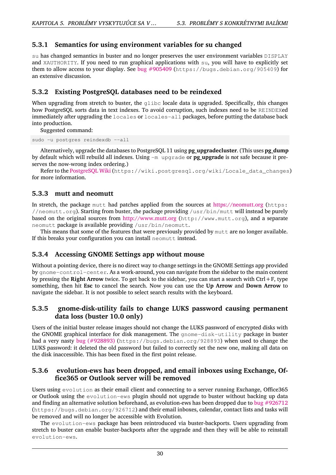#### **5.3.1 Semantics for using environment variables for su changed**

<span id="page-35-6"></span><span id="page-35-0"></span>su has changed semantics in buster and no longer preserves the user environment variables DISPLAY and XAUTHORITY. If you need to run graphical applications with su, you will have to explicitly set them to allow access to your display. See bug #905409 (https://bugs.debian.org/905409) for an extensive discussion.

#### **5.3.2 Existing PostgreSQL data[bases need](https://bugs.debian.org/905409) to be reindexed**

<span id="page-35-1"></span>When upgrading from stretch to buster, the  $q\text{libc}$  locale data is upgraded. Specifically, this changes how PostgreSQL sorts data in text indexes. To avoid corruption, such indexes need to be REINDEXed immediately after upgrading the locales or locales-all packages, before putting the database back into production.

Suggested command:

```
sudo -u postgres reindexdb --all
```
Alternatively, upgrade the databases to PostgreSQL 11 using **pg\_upgradecluster**. (This uses **pg\_dump** by default which will rebuild all indexes. Using -m upgrade or **pg\_upgrade** is *not* safe because it preserves the now-wrong index ordering.)

Refer to the PostgreSQL Wiki (https://wiki.postgresql.org/wiki/Locale\_data\_changes) for more information.

#### **5.3.3 mut[t and neomutt](https://wiki.postgresql.org/wiki/Locale_data_changes)**

In stretch, the package mutt had patches applied from the sources at https://neomutt.org (https: //neomutt.org). Starting from buster, the package providing /usr/bin/mutt will instead be purely based on the original sources from http://www.mutt.org (http://www.mutt.org), and a separate neomutt package is available providing /usr/bin/neomutt.

<span id="page-35-2"></span>This means that some of the features that were previously provided by mutt [are no longer](https://neomutt.org) available. If this breaks your configuration yo[u can install](http://www.mutt.org) neomutt instead.

#### **5.3.4 Accessing GNOME Settings app without mouse**

<span id="page-35-3"></span>Without a pointing device, there is no direct way to change settings in the GNOME Settings app provided by gnome-control-center. As a work-around, you can navigate from the sidebar to the main content by pressing the **Right Arrow** twice. To get back to the sidebar, you can start a search with Ctrl+F, type something, then hit **Esc** to cancel the search. Now you can use the **Up Arrow** and **Down Arrow** to navigate the sidebar. It is not possible to select search results with the keyboard.

#### **5.3.5 gnome-disk-utility fails to change LUKS password causing permanent data loss (buster 10.0 only)**

<span id="page-35-4"></span>Users of the initial buster release images should not change the LUKS password of encrypted disks with the GNOME graphical interface for disk management. The gnome-disk-utility package in buster had a very nasty bug (#928893) (https://bugs.debian.org/928893) when used to change the LUKS password: it deleted the old password but failed to correctly set the new one, making all data on the disk inaccessible. This has been fixed in the first point release.

#### **5.3.6 evolu[tion-ews has](https://bugs.debian.org/928893) been dropped, and email inboxes using Exchange, Office365 or Outlook server will be removed**

<span id="page-35-5"></span>Users using evolution as their email client and connecting to a server running Exchange, Office365 or Outlook using the evolution-ews plugin should not upgrade to buster without backing up data and finding an alternative solution beforehand, as evolution-ews has been dropped due to bug  $\#926712$ (https://bugs.debian.org/926712) and their email inboxes, calendar, contact lists and tasks will be removed and will no longer be accessible with Evolution.

The evolution-ews package has been reintroduced via buster-backports. Users upgrading from stretch to buster can enable buster-backports after the upgrade and then they will be a[ble to reinstall](https://bugs.debian.org/926712) evolution-ews.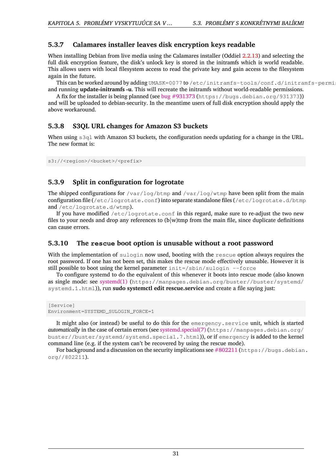#### **5.3.7 Calamares installer leaves disk encryption keys readable**

<span id="page-36-4"></span>When installing Debian from live media using the Calamares installer (Oddiel 2.2.13) and selecting the full disk encryption feature, the disk's unlock key is stored in the initramfs which is world readable. This allows users with local filesystem access to read the private key and gain access to the filesystem again in the future.

<span id="page-36-0"></span>This can be worked around by adding UMASK=0077 to /etc/initramfs-[tools/](#page-12-3)conf.d/initramfs-permissi and running **update-initramfs -u**. This will recreate the initramfs without world-readable permissions.

A fix for the installer is being planned (see bug #931373 (https://bugs.debian.org/931373)) and will be uploaded to debian-security. In the meantime users of full disk encryption should apply the above workaround.

#### **5.3.8 S3QL URL changes for Ama[zon S3 buck](https://bugs.debian.org/931373)ets**

When using  $s3q1$  with Amazon S3 buckets, the configuration needs updating for a change in the URL. The new format is:

<span id="page-36-1"></span>s3://<region>/<br/>bucket>/<prefix>

## **5.3.9 Split in configuration for logrotate**

The shipped configurations for  $/\text{var}/\text{log}/\text{btmp}$  and  $/\text{var}/\text{log}/\text{wtmp}$  have been split from the main configuration file (/etc/logrotate.conf) into separate standalone files (/etc/logrotate.d/btmp and /etc/logrotate.d/wtmp).

<span id="page-36-2"></span>If you have modified /etc/logrotate.conf in this regard, make sure to re-adjust the two new files to your needs and drop any references to  $(b|w)$ tmp from the main file, since duplicate definitions can cause errors.

#### **5.3.10 The rescue boot option is unusable without a root password**

With the implementation of sulogin now used, booting with the rescue option always requires the root password. If one has not been set, this makes the rescue mode effectively unusable. However it is still possible to boot using the kernel parameter  $init=$ /sbin/sulogin  $--force$ 

<span id="page-36-3"></span>To configure systemd to do the equivalent of this whenever it boots into rescue mode (also known as single mode: see systemd(1) (https://manpages.debian.org/buster//buster/systemd/ systemd.1.html)), run **sudo systemctl edit rescue.service** and create a file saying just:

```
[Service]
Environment=SYSTEMD_SULOGIN_FORCE=1
```
It might also (or instead) be useful to do this for the emergency.service unit, which is started *automatically* in the case of certain errors (see systemd.special(7) (https://manpages.debian.org/ buster//buster/systemd/systemd.special.7.html)), or if emergency is added to the kernel command line (e.g. if the system can't be recovered by using the rescue mode).

For background and a discussion on the se[curity implications s](https://manpages.debian.org/buster//buster/systemd/systemd.special.7.html)ee #802211 (https://bugs.debian. org//802211).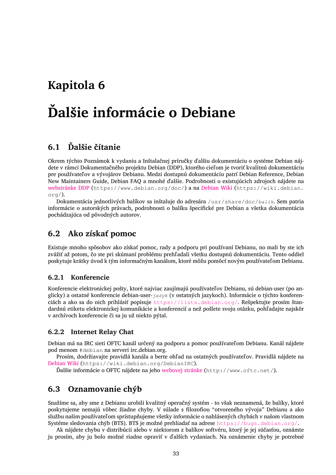## <span id="page-38-0"></span>**Kapitola 6**

# **Ďalšie informácie o Debiane**

## **6.1 Ďalšie čítanie**

<span id="page-38-1"></span>Okrem týchto Poznámok k vydaniu a Inštalačnej príručky ďalšiu dokumentáciu o systéme Debian nájdete v rámci Dokumentačného projektu Debian (DDP), ktorého cieľom je tvoriť kvalitnú dokumentáciu pre používateľov a vývojárov Debianu. Medzi dostupnú dokumentáciu patrí Debian Reference, Debian New Maintainers Guide, Debian FAQ a mnohé ďalšie. Podrobnosti o existujúcich zdrojoch nájdete na webstránke DDP (https://www.debian.org/doc/) a na Debian Wiki (https://wiki.debian. org/).

Dokumentácia jednotlivých balíkov sa inštaluje do adresára /usr/share/doc/*balík*. Sem patria informácie o autorských právach, podrobnosti o balíku špec[ifické pre De](https://wiki.debian.org/)bian a všetka dokumentácia [pochádzajúca od](https://www.debian.org/doc/) pôvodných autorov.

## **6.2 Ako získať pomoc**

<span id="page-38-2"></span>Existuje mnoho spôsobov ako získať pomoc, rady a podporu pri používaní Debianu, no mali by ste ich zvážiť až potom, čo ste pri skúmaní problému prehľadali všetku dostupnú dokumentáciu. Tento oddiel poskytuje krátky úvod k tým informačným kanálom, ktoré môžu pomôcť novým používateľom Debianu.

#### **6.2.1 Konferencie**

<span id="page-38-3"></span>Konferencie elektronickej pošty, ktoré najviac zaujímajú používateľov Debianu, sú debian-user (po anglicky) a ostatné konferencie debian-user-*jazyk* (v ostatných jazykoch). Informácie o týchto konferenciách a ako sa do nich prihlásiť popisuje https://lists.debian.org/. Rešpektujte prosím štandardnú etiketu elektronickej komunikácie a konferencií a než pošlete svoju otázku, pohľadajte najskôr v archívoch konferencie či sa ju už niekto pýtal.

#### **6.2.2 Internet Relay Chat**

Debian má na IRC sieti OFTC kanál určený na podporu a pomoc používateľom Debianu. Kanál nájdete pod menom #debian na serveri irc.debian.org.

<span id="page-38-4"></span>Prosím, dodržiavajte pravidlá kanála a berte ohľad na ostatných používateľov. Pravidlá nájdete na Debian Wiki (https://wiki.debian.org/DebianIRC).

Ďalšie informácie o OFTC nájdete na jeho webovej stránke (http://www.oftc.net/).

## **[6.3 Ozn](https://wiki.debian.org/DebianIRC)amovanie chýb**

<span id="page-38-5"></span>Snažíme sa, aby sme z Debianu urobili kvalit[ný operačný systé](http://www.oftc.net/)m - to však neznamená, že balíky, ktoré poskytujeme nemajú vôbec žiadne chyby. V súlade s filozofiou "otvoreného vývoja" Debianu a ako službu našim používateľom sprístupňujeme všetky informácie o nahlásených chybách v našom vlastnom Systéme sledovania chýb (BTS). BTS je možné prehliadať na adrese https://bugs.debian.org/.

Ak nájdete chybu v distribúcii alebo v niektorom z balíkov softvéru, ktorý je jej súčasťou, oznámte ju prosím, aby ju bolo možné riadne opraviť v ďalších vydaniach. Na oznámenie chyby je potrebné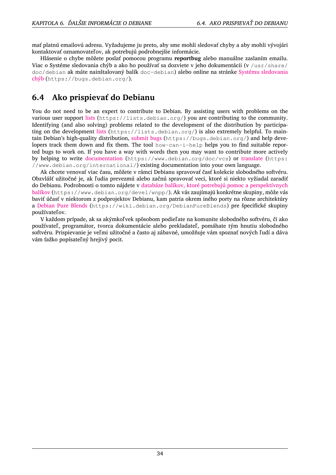<span id="page-39-1"></span>mať platnú emailovú adresu. Vyžadujeme ju preto, aby sme mohli sledovať chyby a aby mohli vývojári kontaktovať oznamovateľov, ak potrebujú podrobnejšie informácie.

Hlásenie o chybe môžete poslať pomocou programu **reportbug** alebo manuálne zaslaním emailu. Viac o Systéme sledovania chýb a ako ho používať sa dozviete v jeho dokumentácii (v /usr/share/ doc/debian ak máte nainštalovaný balík doc-debian) alebo online na stránke Systému sledovania chýb (https://bugs.debian.org/).

## **6.4 Ako prispievať do Debianu**

<span id="page-39-0"></span>[You](https://bugs.debian.org/) do not need to be an expert to contribute to Debian. By assisting users with problems on the various user support lists (https://lists.debian.org/) you are contributing to the community. Identifying (and also solving) problems related to the development of the distribution by participating on the development lists (https://lists.debian.org/) is also extremely helpful. To maintain Debian's high-quality distribution, submit bugs (https://bugs.debian.org/) and help developers track them d[own a](https://lists.debian.org/)nd fix them. The tool how-can-i-help helps you to find suitable reported bugs to work on. If you have a way with words then you may want to contribute more actively by helping to write doc[umen](https://lists.debian.org/)tation (https://www.debian.org/doc/vcs) or translate (https: //www.debian.org/international/[\) existing d](https://bugs.debian.org/)ocumentation into your own language.

Ak chcete venovať viac času, môžete v rámci Debianu spravovať časť kolekcie slobodného softvéru. Obzvlášť užitočné je, ak ľudia prevezmú alebo začnú spravovať veci, ktoré si niekto vyžiadal zaradiť do Debianu. Podrobn[osti o tomto ná](https://www.debian.org/doc/vcs)jdete v databáze balíkov, ktoré potrebujú pomo[c a persp](https://www.debian.org/international/)ektívnych balíkov (https://www.debian.org/devel/wnpp/). Ak vás zaujímajú konkrétne skupiny, môže vás baviť účasť v niektorom z podprojektov Debianu, kam patria okrem iného porty na rôzne architektúry a Debian Pure Blends (https://wiki.debian.org/DebianPureBlends) pre špecifické skupiny používateľov.

[V ka](https://www.debian.org/devel/wnpp/)ždom prípade, ak sa akýmkoľvek sp[ôsobom podieľate na komunite slobodného softvéru, či ako](https://www.debian.org/devel/wnpp/) používateľ, programátor, tvorca dokumentácie alebo prekladateľ, pomáhate tým hnutiu slobodného s[oftvéru. Prispievanie](https://wiki.debian.org/DebianPureBlends) je veľmi užitočné a často aj zábavné, umožňuje vám spoznať nových ľudí a dáva vám ťažko popísateľný hrejivý pocit.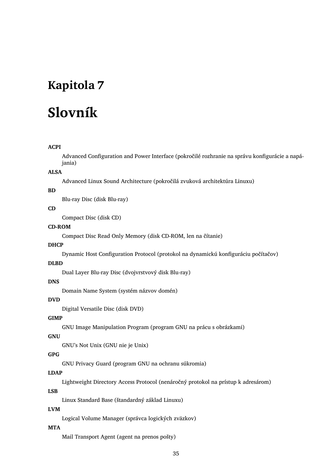# <span id="page-40-0"></span>**Kapitola 7**

# **Slovník**

#### **ACPI**

Advanced Configuration and Power Interface (pokročilé rozhranie na správu konfigurácie a napájania)

#### **ALSA**

Advanced Linux Sound Architecture (pokročilá zvuková architektúra Linuxu)

#### **BD**

Blu-ray Disc (disk Blu-ray)

#### **CD**

Compact Disc (disk CD)

#### **CD-ROM**

Compact Disc Read Only Memory (disk CD-ROM, len na čítanie)

#### **DHCP**

Dynamic Host Configuration Protocol (protokol na dynamickú konfiguráciu počítačov)

#### **DLBD**

Dual Layer Blu-ray Disc (dvojvrstvový disk Blu-ray)

#### **DNS**

Domain Name System (systém názvov domén)

#### **DVD**

Digital Versatile Disc (disk DVD)

#### **GIMP**

GNU Image Manipulation Program (program GNU na prácu s obrázkami)

#### **GNU**

GNU's Not Unix (GNU nie je Unix)

#### **GPG**

GNU Privacy Guard (program GNU na ochranu súkromia)

#### **LDAP**

Lightweight Directory Access Protocol (nenáročný protokol na prístup k adresárom)

#### **LSB**

Linux Standard Base (štandardný základ Linuxu)

#### **LVM**

Logical Volume Manager (správca logických zväzkov)

#### **MTA**

Mail Transport Agent (agent na prenos pošty)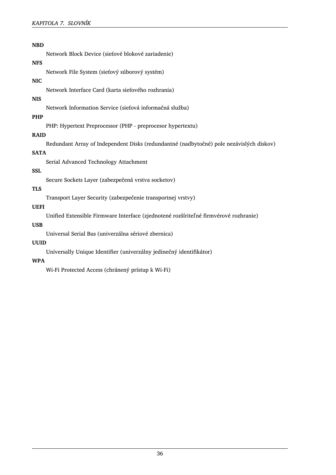| <b>NBD</b>  |                                                                                         |  |  |  |  |
|-------------|-----------------------------------------------------------------------------------------|--|--|--|--|
|             | Network Block Device (sieťové blokové zariadenie)                                       |  |  |  |  |
| <b>NFS</b>  |                                                                                         |  |  |  |  |
|             | Network File System (sieťový súborový systém)                                           |  |  |  |  |
| <b>NIC</b>  |                                                                                         |  |  |  |  |
|             | Network Interface Card (karta sieťového rozhrania)                                      |  |  |  |  |
| <b>NIS</b>  |                                                                                         |  |  |  |  |
|             | Network Information Service (sieťová informačná služba)                                 |  |  |  |  |
| <b>PHP</b>  |                                                                                         |  |  |  |  |
|             | PHP: Hypertext Preprocessor (PHP - preprocesor hypertextu)                              |  |  |  |  |
| <b>RAID</b> |                                                                                         |  |  |  |  |
|             | Redundant Array of Independent Disks (redundantné (nadbytočné) pole nezávislých diskov) |  |  |  |  |
|             | <b>SATA</b>                                                                             |  |  |  |  |
|             | Serial Advanced Technology Attachment                                                   |  |  |  |  |
| <b>SSL</b>  |                                                                                         |  |  |  |  |
|             | Secure Sockets Layer (zabezpečená vrstva socketov)                                      |  |  |  |  |
| <b>TLS</b>  |                                                                                         |  |  |  |  |
|             | Transport Layer Security (zabezpečenie transportnej vrstvy)                             |  |  |  |  |
| <b>UEFI</b> |                                                                                         |  |  |  |  |
|             | Unified Extensible Firmware Interface (zjednotené rozšíriteľné firmvérové rozhranie)    |  |  |  |  |
| <b>USB</b>  |                                                                                         |  |  |  |  |
|             | Universal Serial Bus (univerzálna sériové zbernica)                                     |  |  |  |  |

#### **UUID**

Universally Unique Identifier (univerzálny jedinečný identifikátor)

#### **WPA**

Wi-Fi Protected Access (chránený prístup k Wi-Fi)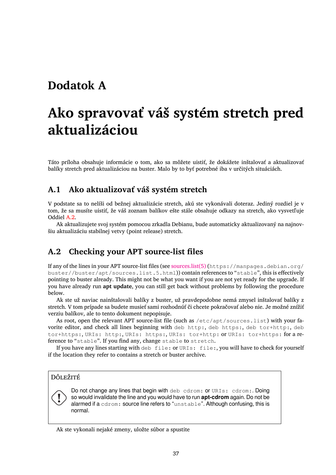## <span id="page-42-0"></span>**Dodatok A**

# **Ako spravovať váš systém stretch pred aktualizáciou**

Táto príloha obsahuje informácie o tom, ako sa môžete uistiť, že dokážete inštalovať a aktualizovať balíky stretch pred aktualizáciou na buster. Malo by to byť potrebné iba v určitých situáciách.

## **A.1 Ako aktualizovať váš systém stretch**

<span id="page-42-1"></span>V podstate sa to nelíši od bežnej aktualizácie stretch, akú ste vykonávali doteraz. Jediný rozdiel je v tom, že sa musíte uistiť, že váš zoznam balíkov ešte stále obsahuje odkazy na stretch, ako vysvetľuje Oddiel A.2.

Ak aktualizujete svoj systém pomocou zrkadla Debianu, bude automaticky aktualizovaný na najnovšiu aktualizáciu stabilnej vetvy (point release) stretch.

## **A.2 [Ch](#page-42-2)ecking your APT source-list files**

<span id="page-42-2"></span>If any of the lines in your APT source-list files (see sources.list(5) (https://manpages.debian.org/ buster//buster/apt/sources.list.5.html)) contain references to "stable", this is effectively pointing to buster already. This might not be what you want if you are not yet ready for the upgrade. If you have already run **apt update**, you can still get back without problems by following the procedure below.

Ak ste už naviac nainštalovali balíky z buster[, už pravdepod](https://manpages.debian.org/buster//buster/apt/sources.list.5.html)obne nemá zmysel inštalovať balíky z stretch. V tom prípade sa budete musieť sami rozhodnúť či chcete pokračovať alebo nie. Je možné znížiť verziu balíkov, ale to tento dokument nepopisuje.

As root, open the relevant APT source-list file (such as /etc/apt/sources.list) with your favorite editor, and check all lines beginning with deb http:, deb https:, deb tor+http:, deb tor+https:, URIs: http:, URIs: https:, URIs: tor+http: or URIs: tor+https: for a reference to "stable". If you find any, change stable to stretch.

If you have any lines starting with deb file: or URIs: file:, you will have to check for yourself if the location they refer to contains a stretch or buster archive.

#### Dôležité

Do not change any lines that begin with deb cdrom: or URIs: cdrom: . Doing so would invalidate the line and you would have to run **apt-cdrom** again. Do not be alarmed if a cdrom: source line refers to "unstable". Although confusing, this is normal.

Ak ste vykonali nejaké zmeny, uložte súbor a spustite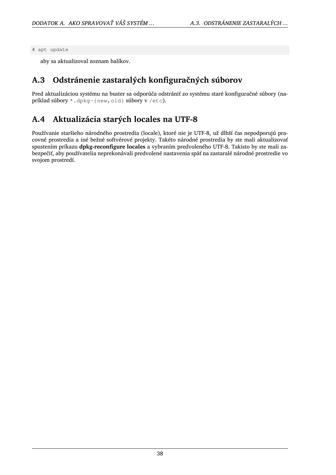# apt update

aby sa aktualizoval zoznam balíkov.

## **A.3 Odstránenie zastaralých konfiguračných súborov**

Pred aktualizáciou systému na buster sa odporúča odstrániť zo systému staré konfiguračné súbory (napríklad súbory \*.dpkg-{new,old} súbory v /etc).

## **A.4 Aktualizácia starých locales na UTF-8**

Používanie staršieho národného prostredia (locale), ktoré nie je UTF-8, už dlhší čas nepodporujú pracovné prostredia a iné bežné softvérové projekty. Takéto národné prostredia by ste mali aktualizovať spustením príkazu **dpkg-reconfigure locales** a vybraním predvoleného UTF-8. Takisto by ste mali zabezpečiť, aby používatelia neprekonávali predvolené nastavenia späť na zastaralé národné prostredie vo svojom prostredí.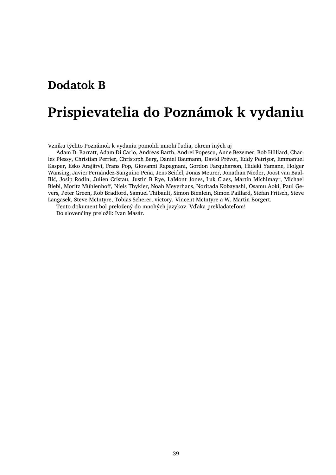## **Dodatok B**

# **Prispievatelia do Poznámok k vydaniu**

Vzniku týchto Poznámok k vydaniu pomohli mnohí ľudia, okrem iných aj

Adam D. Barratt, Adam Di Carlo, Andreas Barth, Andrei Popescu, Anne Bezemer, Bob Hilliard, Charles Plessy, Christian Perrier, Christoph Berg, Daniel Baumann, David Prévot, Eddy Petrișor, Emmanuel Kasper, Esko Arajärvi, Frans Pop, Giovanni Rapagnani, Gordon Farquharson, Hideki Yamane, Holger Wansing, Javier Fernández-Sanguino Peña, Jens Seidel, Jonas Meurer, Jonathan Nieder, Joost van Baal-Ilić, Josip Rodin, Julien Cristau, Justin B Rye, LaMont Jones, Luk Claes, Martin Michlmayr, Michael Biebl, Moritz Mühlenhoff, Niels Thykier, Noah Meyerhans, Noritada Kobayashi, Osamu Aoki, Paul Gevers, Peter Green, Rob Bradford, Samuel Thibault, Simon Bienlein, Simon Paillard, Stefan Fritsch, Steve Langasek, Steve McIntyre, Tobias Scherer, victory, Vincent McIntyre a W. Martin Borgert.

Tento dokument bol preložený do mnohých jazykov. Vďaka prekladateľom! Do slovenčiny preložil: Ivan Masár.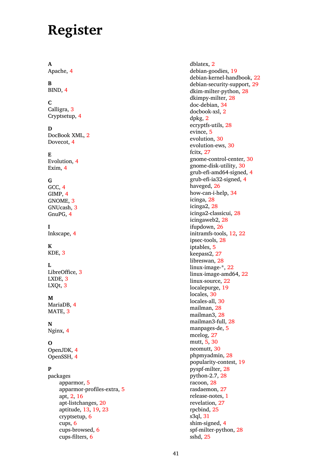## **Register**

#### **A**

Apache, 4

## **B**

BIND, 4

### **C**

Calligra, 3 Crypts[et](#page-9-2)up, 4

#### **D**

DocBook [X](#page-8-3)ML, 2 Dovecot, 4

#### **E**

Evolution, 4 Exim, 4

#### **G**

GCC, 4 GIMP, [4](#page-9-2) GNOME, 3 GNUcash, 3 GnuP[G,](#page-9-2) 4

#### **I**

Inkscape, [4](#page-8-3)

#### **K**

KDE, 3

#### **L**

LibreOffice, 3 LXDE[,](#page-8-3) 3 LXQt, 3

#### **M**

Maria[DB](#page-8-3), 4 MATE[,](#page-8-3) 3

#### **N**

Nginx, 4

#### **O**

OpenJDK, 4 OpenS[SH](#page-9-2), 4

#### **P**

packages appar[m](#page-9-2)or, 5 apparmor-profiles-extra, 5 apt, 2, 16 apt-listchanges, 20 aptitude, 1[3](#page-10-4) , 19 , 23 cryptsetup, 6 cups[,](#page-7-1) 6 cups-b[row](#page-21-3)sed, [6](#page-25-3) cups-filte[rs,](#page-18-3) [6](#page-24-0)

dblatex, 2 debian-goodies, 19 debian-kernel-handbook, 22 debian-security-support, 29 dkim-mi[lte](#page-7-1)r-python, 28 dkimpy-milter, [28](#page-24-0) doc-debian, 34 docbook-xsl, 2 dpkg, 2 ecryptfs-utils, 2[8](#page-33-3) evince, 5 evolution, 3[0](#page-39-1) evolu[tio](#page-7-1)n-ew[s,](#page-7-1) 30 fcitx, 27 gnome-[co](#page-10-4)ntro[l-ce](#page-33-3)nter, 30 gnome-dis[k-u](#page-35-6)tility, 30 grub-efi-amd6[4-si](#page-35-6)gned, 4 grub-[efi-](#page-32-4)ia32-signed, 4 haveged, 26 how-can-i-help, 34 icinga, 28 icinga2, 28 icinga2-c[lass](#page-31-2)icui, [2](#page-39-1)8 icingaweb2, 28 ifupdo[wn,](#page-33-3) 26 initramf[s-to](#page-33-3)ols, 12 [,](#page-33-3) 22 ipsec-tools, [28](#page-33-3) iptables, 5 keepass2, [27](#page-31-2) libreswan, 28 linux-image[-\\*,](#page-33-3) [22](#page-17-6) linux-im[ag](#page-10-4)e-amd64, 22 linux-sour[ce,](#page-32-4) 22 localepurg[e,](#page-33-3) 1[9](#page-27-3) locales, 30 locales-all, 30 mailman, 28 mailman3, 2[8](#page-24-0) mailma[n3-](#page-35-6)full, 28 manpages-[de,](#page-35-6) 5 mcelog, 2[7](#page-33-3) mutt, <mark>5</mark>, 30 neomutt, 3[0](#page-33-3) phpmyadmin, [2](#page-10-4)[8](#page-33-3) populari[ty-](#page-32-4)contest, 19 pyspf[-m](#page-10-4)[ilte](#page-35-6)r, 28 python-2[.7,](#page-35-6) 28 racoon, 28 rasdaemon, 2[7](#page-33-3) release-notes, [1](#page-33-3) revelation, [27](#page-33-3) rpcbind, [25](#page-33-3) s3ql, 31 shim-signed, [4](#page-6-3) spf-milte[r-](#page-30-6)[pyth](#page-32-4)on, 28 sshd, [25](#page-36-4)